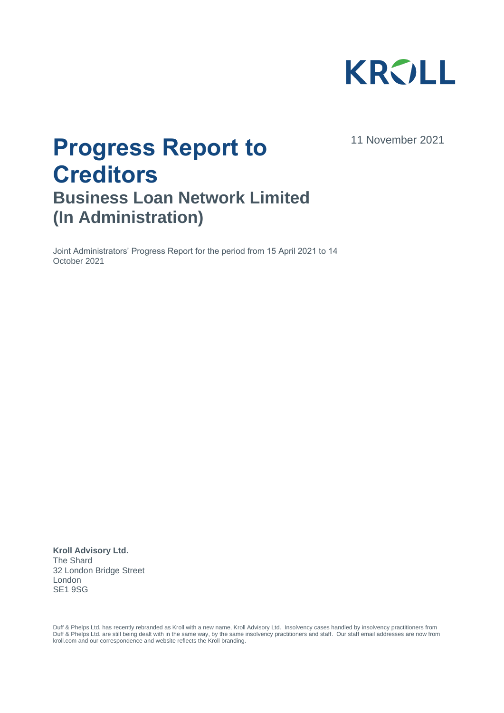

11 November 2021

# **Progress Report to Creditors Business Loan Network Limited (In Administration)**

Joint Administrators' Progress Report for the period from 15 April 2021 to 14 October 2021

**Kroll Advisory Ltd.** The Shard 32 London Bridge Street London SE1 9SG

Duff & Phelps Ltd. has recently rebranded as Kroll with a new name, Kroll Advisory Ltd. Insolvency cases handled by insolvency practitioners from Duff & Phelps Ltd. are still being dealt with in the same way, by the same insolvency practitioners and staff. Our staff email addresses are now from kroll.com and our correspondence and website reflects the Kroll branding.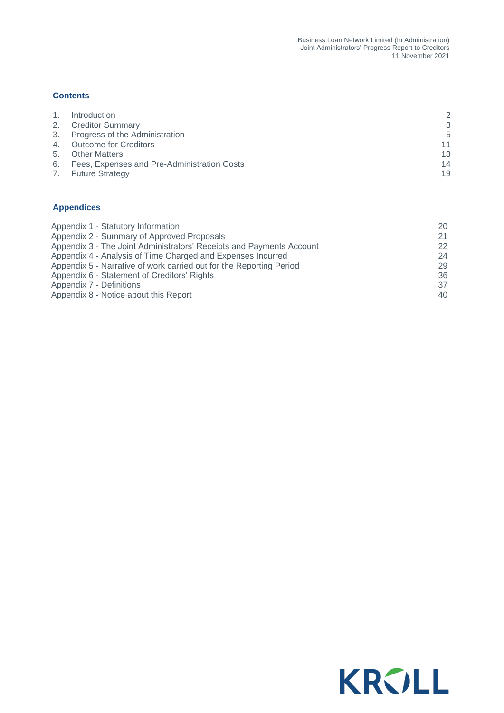#### **Contents**

|    | Introduction                                   | っ  |
|----|------------------------------------------------|----|
|    | 2. Creditor Summary                            | २  |
|    | 3. Progress of the Administration              | 5  |
|    | 4. Outcome for Creditors                       | 11 |
| 5. | <b>Other Matters</b>                           | 13 |
|    | 6. Fees, Expenses and Pre-Administration Costs | 14 |
| 7. | <b>Future Strategy</b>                         | 19 |

#### **Appendices**

| Appendix 1 - Statutory Information                                   | 20 |
|----------------------------------------------------------------------|----|
| Appendix 2 - Summary of Approved Proposals                           | 21 |
| Appendix 3 - The Joint Administrators' Receipts and Payments Account | 22 |
| Appendix 4 - Analysis of Time Charged and Expenses Incurred          | 24 |
| Appendix 5 - Narrative of work carried out for the Reporting Period  | 29 |
| Appendix 6 - Statement of Creditors' Rights                          | 36 |
| Appendix 7 - Definitions                                             | 37 |
| Appendix 8 - Notice about this Report                                | 40 |

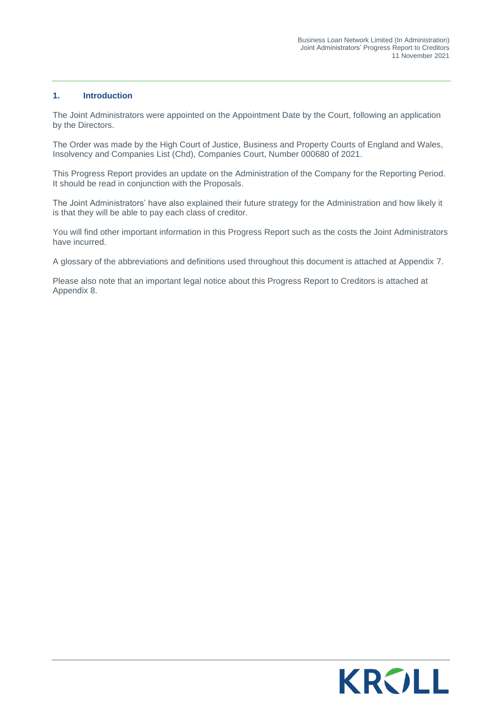#### <span id="page-2-0"></span>**1. Introduction**

The Joint Administrators were appointed on the Appointment Date by the Court, following an application by the Directors.

The Order was made by the High Court of Justice, Business and Property Courts of England and Wales, Insolvency and Companies List (Chd), Companies Court, Number 000680 of 2021.

This Progress Report provides an update on the Administration of the Company for the Reporting Period. It should be read in conjunction with the Proposals.

The Joint Administrators' have also explained their future strategy for the Administration and how likely it is that they will be able to pay each class of creditor.

You will find other important information in this Progress Report such as the costs the Joint Administrators have incurred.

A glossary of the abbreviations and definitions used throughout this document is attached at Appendix 7.

Please also note that an important legal notice about this Progress Report to Creditors is attached at Appendix 8.

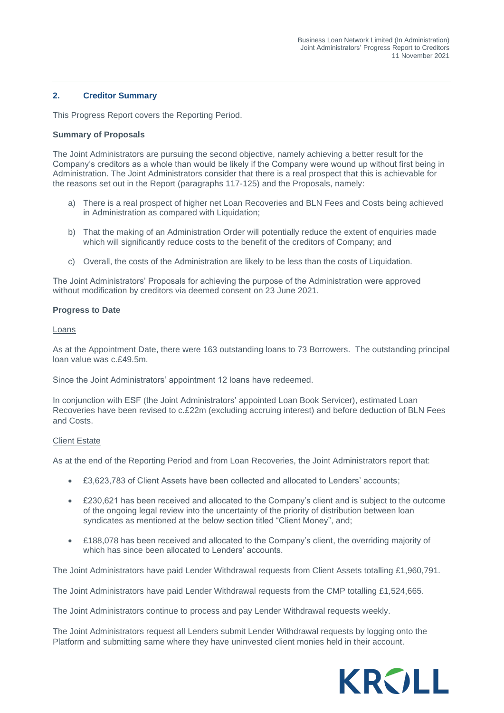#### <span id="page-3-0"></span>**2. Creditor Summary**

This Progress Report covers the Reporting Period.

#### **Summary of Proposals**

The Joint Administrators are pursuing the second objective, namely achieving a better result for the Company's creditors as a whole than would be likely if the Company were wound up without first being in Administration. The Joint Administrators consider that there is a real prospect that this is achievable for the reasons set out in the Report (paragraphs 117-125) and the Proposals, namely:

- a) There is a real prospect of higher net Loan Recoveries and BLN Fees and Costs being achieved in Administration as compared with Liquidation;
- b) That the making of an Administration Order will potentially reduce the extent of enquiries made which will significantly reduce costs to the benefit of the creditors of Company; and
- c) Overall, the costs of the Administration are likely to be less than the costs of Liquidation.

The Joint Administrators' Proposals for achieving the purpose of the Administration were approved without modification by creditors via deemed consent on 23 June 2021.

#### **Progress to Date**

Loans

As at the Appointment Date, there were 163 outstanding loans to 73 Borrowers. The outstanding principal loan value was c.£49.5m.

Since the Joint Administrators' appointment 12 loans have redeemed.

In conjunction with ESF (the Joint Administrators' appointed Loan Book Servicer), estimated Loan Recoveries have been revised to c.£22m (excluding accruing interest) and before deduction of BLN Fees and Costs.

#### Client Estate

As at the end of the Reporting Period and from Loan Recoveries, the Joint Administrators report that:

- £3,623,783 of Client Assets have been collected and allocated to Lenders' accounts;
- £230,621 has been received and allocated to the Company's client and is subject to the outcome of the ongoing legal review into the uncertainty of the priority of distribution between loan syndicates as mentioned at the below section titled "Client Money", and;
- £188,078 has been received and allocated to the Company's client, the overriding majority of which has since been allocated to Lenders' accounts.

The Joint Administrators have paid Lender Withdrawal requests from Client Assets totalling £1,960,791.

The Joint Administrators have paid Lender Withdrawal requests from the CMP totalling £1,524,665.

The Joint Administrators continue to process and pay Lender Withdrawal requests weekly.

The Joint Administrators request all Lenders submit Lender Withdrawal requests by logging onto the Platform and submitting same where they have uninvested client monies held in their account.

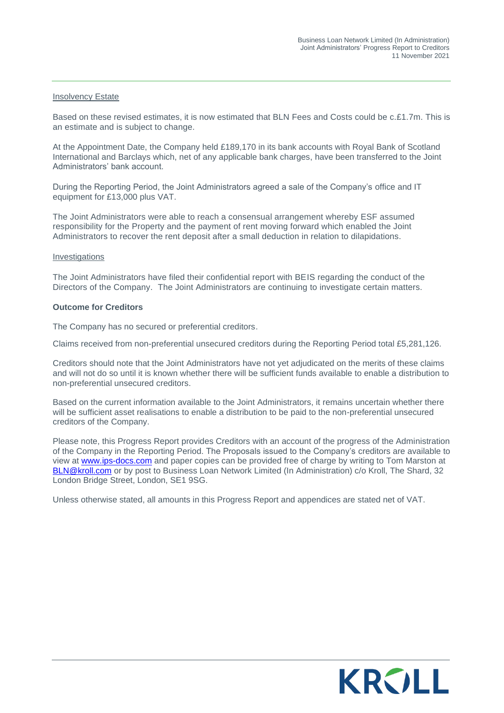#### Insolvency Estate

Based on these revised estimates, it is now estimated that BLN Fees and Costs could be c.£1.7m. This is an estimate and is subject to change.

At the Appointment Date, the Company held £189,170 in its bank accounts with Royal Bank of Scotland International and Barclays which, net of any applicable bank charges, have been transferred to the Joint Administrators' bank account.

During the Reporting Period, the Joint Administrators agreed a sale of the Company's office and IT equipment for £13,000 plus VAT.

The Joint Administrators were able to reach a consensual arrangement whereby ESF assumed responsibility for the Property and the payment of rent moving forward which enabled the Joint Administrators to recover the rent deposit after a small deduction in relation to dilapidations.

#### **Investigations**

The Joint Administrators have filed their confidential report with BEIS regarding the conduct of the Directors of the Company. The Joint Administrators are continuing to investigate certain matters.

#### **Outcome for Creditors**

The Company has no secured or preferential creditors.

Claims received from non-preferential unsecured creditors during the Reporting Period total £5,281,126.

Creditors should note that the Joint Administrators have not yet adjudicated on the merits of these claims and will not do so until it is known whether there will be sufficient funds available to enable a distribution to non-preferential unsecured creditors.

Based on the current information available to the Joint Administrators, it remains uncertain whether there will be sufficient asset realisations to enable a distribution to be paid to the non-preferential unsecured creditors of the Company.

Please note, this Progress Report provides Creditors with an account of the progress of the Administration of the Company in the Reporting Period. The Proposals issued to the Company's creditors are available to view at [www.ips-docs.com](http://www.ips-docs.com/) and paper copies can be provided free of charge by writing to Tom Marston at [BLN@kroll.com](mailto:BLN@kroll.com) or by post to Business Loan Network Limited (In Administration) c/o Kroll, The Shard, 32 London Bridge Street, London, SE1 9SG.

Unless otherwise stated, all amounts in this Progress Report and appendices are stated net of VAT.

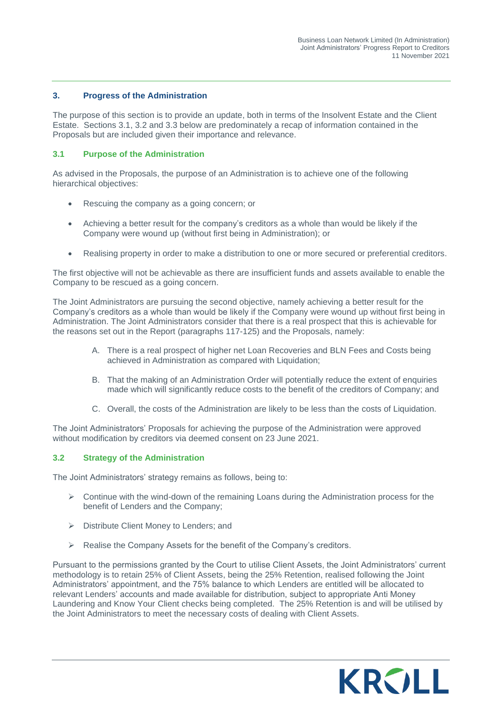#### <span id="page-5-0"></span>**3. Progress of the Administration**

The purpose of this section is to provide an update, both in terms of the Insolvent Estate and the Client Estate. Sections 3.1, 3.2 and 3.3 below are predominately a recap of information contained in the Proposals but are included given their importance and relevance.

#### **3.1 Purpose of the Administration**

As advised in the Proposals, the purpose of an Administration is to achieve one of the following hierarchical objectives:

- Rescuing the company as a going concern; or
- Achieving a better result for the company's creditors as a whole than would be likely if the Company were wound up (without first being in Administration); or
- Realising property in order to make a distribution to one or more secured or preferential creditors.

The first objective will not be achievable as there are insufficient funds and assets available to enable the Company to be rescued as a going concern.

The Joint Administrators are pursuing the second objective, namely achieving a better result for the Company's creditors as a whole than would be likely if the Company were wound up without first being in Administration. The Joint Administrators consider that there is a real prospect that this is achievable for the reasons set out in the Report (paragraphs 117-125) and the Proposals, namely:

- A. There is a real prospect of higher net Loan Recoveries and BLN Fees and Costs being achieved in Administration as compared with Liquidation;
- B. That the making of an Administration Order will potentially reduce the extent of enquiries made which will significantly reduce costs to the benefit of the creditors of Company; and
- C. Overall, the costs of the Administration are likely to be less than the costs of Liquidation.

The Joint Administrators' Proposals for achieving the purpose of the Administration were approved without modification by creditors via deemed consent on 23 June 2021.

#### **3.2 Strategy of the Administration**

The Joint Administrators' strategy remains as follows, being to:

- $\triangleright$  Continue with the wind-down of the remaining Loans during the Administration process for the benefit of Lenders and the Company;
- ➢ Distribute Client Money to Lenders; and
- ➢ Realise the Company Assets for the benefit of the Company's creditors.

Pursuant to the permissions granted by the Court to utilise Client Assets, the Joint Administrators' current methodology is to retain 25% of Client Assets, being the 25% Retention, realised following the Joint Administrators' appointment, and the 75% balance to which Lenders are entitled will be allocated to relevant Lenders' accounts and made available for distribution, subject to appropriate Anti Money Laundering and Know Your Client checks being completed. The 25% Retention is and will be utilised by the Joint Administrators to meet the necessary costs of dealing with Client Assets.

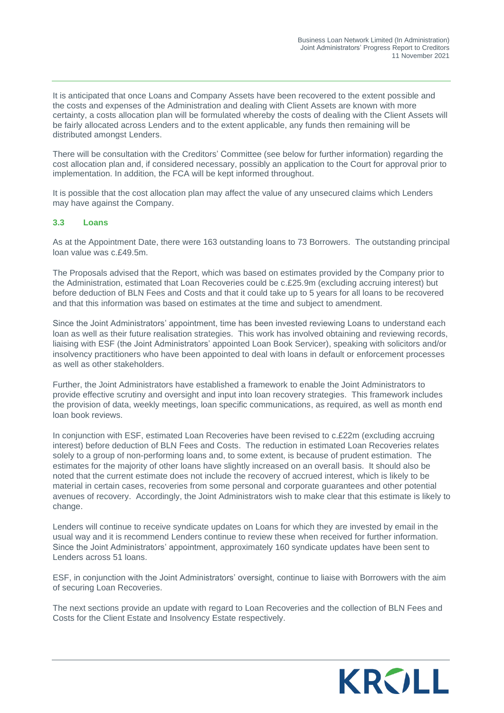It is anticipated that once Loans and Company Assets have been recovered to the extent possible and the costs and expenses of the Administration and dealing with Client Assets are known with more certainty, a costs allocation plan will be formulated whereby the costs of dealing with the Client Assets will be fairly allocated across Lenders and to the extent applicable, any funds then remaining will be distributed amongst Lenders.

There will be consultation with the Creditors' Committee (see below for further information) regarding the cost allocation plan and, if considered necessary, possibly an application to the Court for approval prior to implementation. In addition, the FCA will be kept informed throughout.

It is possible that the cost allocation plan may affect the value of any unsecured claims which Lenders may have against the Company.

#### **3.3 Loans**

As at the Appointment Date, there were 163 outstanding loans to 73 Borrowers. The outstanding principal loan value was c.£49.5m.

The Proposals advised that the Report, which was based on estimates provided by the Company prior to the Administration, estimated that Loan Recoveries could be c.£25.9m (excluding accruing interest) but before deduction of BLN Fees and Costs and that it could take up to 5 years for all loans to be recovered and that this information was based on estimates at the time and subject to amendment.

Since the Joint Administrators' appointment, time has been invested reviewing Loans to understand each loan as well as their future realisation strategies. This work has involved obtaining and reviewing records, liaising with ESF (the Joint Administrators' appointed Loan Book Servicer), speaking with solicitors and/or insolvency practitioners who have been appointed to deal with loans in default or enforcement processes as well as other stakeholders.

Further, the Joint Administrators have established a framework to enable the Joint Administrators to provide effective scrutiny and oversight and input into loan recovery strategies. This framework includes the provision of data, weekly meetings, loan specific communications, as required, as well as month end loan book reviews.

In conjunction with ESF, estimated Loan Recoveries have been revised to c.£22m (excluding accruing interest) before deduction of BLN Fees and Costs. The reduction in estimated Loan Recoveries relates solely to a group of non-performing loans and, to some extent, is because of prudent estimation. The estimates for the majority of other loans have slightly increased on an overall basis. It should also be noted that the current estimate does not include the recovery of accrued interest, which is likely to be material in certain cases, recoveries from some personal and corporate guarantees and other potential avenues of recovery. Accordingly, the Joint Administrators wish to make clear that this estimate is likely to change.

Lenders will continue to receive syndicate updates on Loans for which they are invested by email in the usual way and it is recommend Lenders continue to review these when received for further information. Since the Joint Administrators' appointment, approximately 160 syndicate updates have been sent to Lenders across 51 loans.

ESF, in conjunction with the Joint Administrators' oversight, continue to liaise with Borrowers with the aim of securing Loan Recoveries.

The next sections provide an update with regard to Loan Recoveries and the collection of BLN Fees and Costs for the Client Estate and Insolvency Estate respectively.

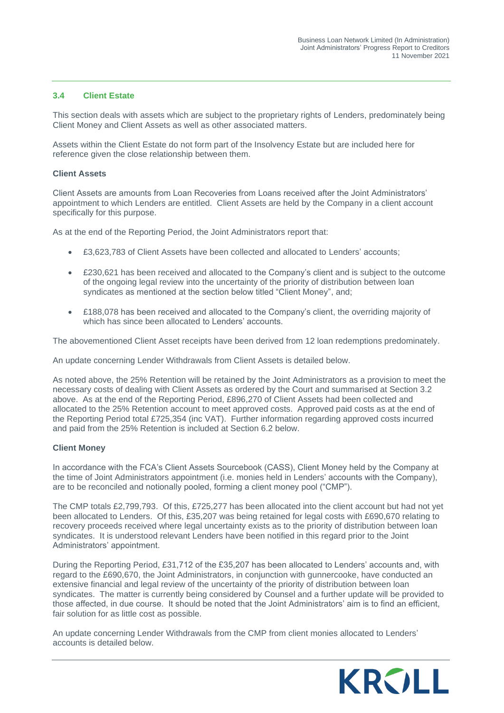#### **3.4 Client Estate**

This section deals with assets which are subject to the proprietary rights of Lenders, predominately being Client Money and Client Assets as well as other associated matters.

Assets within the Client Estate do not form part of the Insolvency Estate but are included here for reference given the close relationship between them.

#### **Client Assets**

Client Assets are amounts from Loan Recoveries from Loans received after the Joint Administrators' appointment to which Lenders are entitled. Client Assets are held by the Company in a client account specifically for this purpose.

As at the end of the Reporting Period, the Joint Administrators report that:

- £3,623,783 of Client Assets have been collected and allocated to Lenders' accounts;
- £230,621 has been received and allocated to the Company's client and is subject to the outcome of the ongoing legal review into the uncertainty of the priority of distribution between loan syndicates as mentioned at the section below titled "Client Money", and;
- £188,078 has been received and allocated to the Company's client, the overriding majority of which has since been allocated to Lenders' accounts.

The abovementioned Client Asset receipts have been derived from 12 loan redemptions predominately.

An update concerning Lender Withdrawals from Client Assets is detailed below.

As noted above, the 25% Retention will be retained by the Joint Administrators as a provision to meet the necessary costs of dealing with Client Assets as ordered by the Court and summarised at Section 3.2 above. As at the end of the Reporting Period, £896,270 of Client Assets had been collected and allocated to the 25% Retention account to meet approved costs. Approved paid costs as at the end of the Reporting Period total £725,354 (inc VAT). Further information regarding approved costs incurred and paid from the 25% Retention is included at Section 6.2 below.

#### **Client Money**

In accordance with the FCA's Client Assets Sourcebook (CASS), Client Money held by the Company at the time of Joint Administrators appointment (i.e. monies held in Lenders' accounts with the Company), are to be reconciled and notionally pooled, forming a client money pool ("CMP").

The CMP totals £2,799,793. Of this, £725,277 has been allocated into the client account but had not yet been allocated to Lenders. Of this, £35,207 was being retained for legal costs with £690,670 relating to recovery proceeds received where legal uncertainty exists as to the priority of distribution between loan syndicates. It is understood relevant Lenders have been notified in this regard prior to the Joint Administrators' appointment.

During the Reporting Period, £31,712 of the £35,207 has been allocated to Lenders' accounts and, with regard to the £690,670, the Joint Administrators, in conjunction with gunnercooke, have conducted an extensive financial and legal review of the uncertainty of the priority of distribution between loan syndicates. The matter is currently being considered by Counsel and a further update will be provided to those affected, in due course. It should be noted that the Joint Administrators' aim is to find an efficient, fair solution for as little cost as possible.

An update concerning Lender Withdrawals from the CMP from client monies allocated to Lenders' accounts is detailed below.

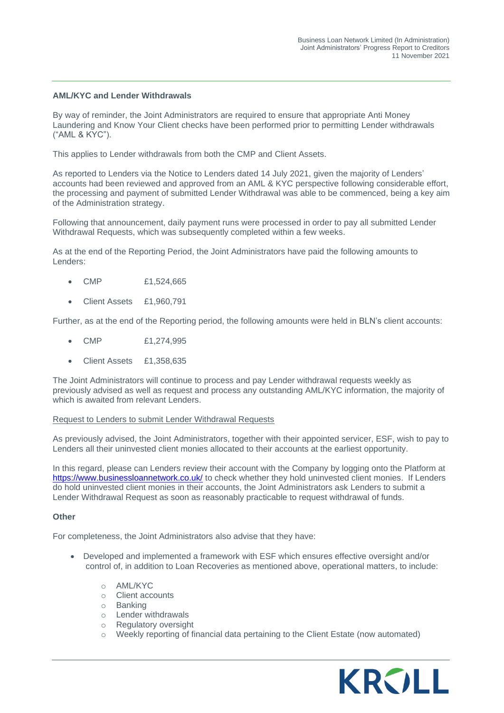#### **AML/KYC and Lender Withdrawals**

By way of reminder, the Joint Administrators are required to ensure that appropriate Anti Money Laundering and Know Your Client checks have been performed prior to permitting Lender withdrawals ("AML & KYC").

This applies to Lender withdrawals from both the CMP and Client Assets.

As reported to Lenders via the Notice to Lenders dated 14 July 2021, given the majority of Lenders' accounts had been reviewed and approved from an AML & KYC perspective following considerable effort, the processing and payment of submitted Lender Withdrawal was able to be commenced, being a key aim of the Administration strategy.

Following that announcement, daily payment runs were processed in order to pay all submitted Lender Withdrawal Requests, which was subsequently completed within a few weeks.

As at the end of the Reporting Period, the Joint Administrators have paid the following amounts to Lenders:

- CMP £1,524,665
- Client Assets £1,960,791

Further, as at the end of the Reporting period, the following amounts were held in BLN's client accounts:

- CMP £1,274,995
- Client Assets £1,358,635

The Joint Administrators will continue to process and pay Lender withdrawal requests weekly as previously advised as well as request and process any outstanding AML/KYC information, the majority of which is awaited from relevant Lenders.

#### Request to Lenders to submit Lender Withdrawal Requests

As previously advised, the Joint Administrators, together with their appointed servicer, ESF, wish to pay to Lenders all their uninvested client monies allocated to their accounts at the earliest opportunity.

In this regard, please can Lenders review their account with the Company by logging onto the Platform at <https://www.businessloannetwork.co.uk/> to check whether they hold uninvested client monies. If Lenders do hold uninvested client monies in their accounts, the Joint Administrators ask Lenders to submit a Lender Withdrawal Request as soon as reasonably practicable to request withdrawal of funds.

#### **Other**

For completeness, the Joint Administrators also advise that they have:

- Developed and implemented a framework with ESF which ensures effective oversight and/or control of, in addition to Loan Recoveries as mentioned above, operational matters, to include:
	- o AML/KYC
	- o Client accounts
	- o Banking
	- o Lender withdrawals
	- o Regulatory oversight
	- o Weekly reporting of financial data pertaining to the Client Estate (now automated)

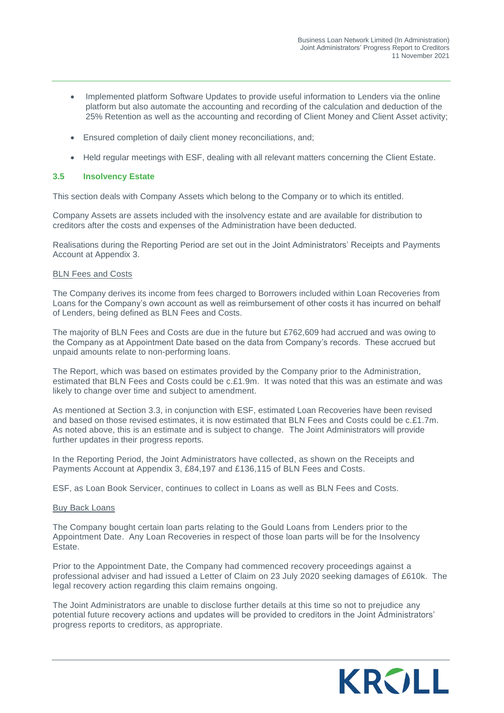- Implemented platform Software Updates to provide useful information to Lenders via the online platform but also automate the accounting and recording of the calculation and deduction of the 25% Retention as well as the accounting and recording of Client Money and Client Asset activity;
- Ensured completion of daily client money reconciliations, and;
- Held regular meetings with ESF, dealing with all relevant matters concerning the Client Estate.

#### **3.5 Insolvency Estate**

This section deals with Company Assets which belong to the Company or to which its entitled.

Company Assets are assets included with the insolvency estate and are available for distribution to creditors after the costs and expenses of the Administration have been deducted.

Realisations during the Reporting Period are set out in the Joint Administrators' Receipts and Payments Account at Appendix 3.

#### BLN Fees and Costs

The Company derives its income from fees charged to Borrowers included within Loan Recoveries from Loans for the Company's own account as well as reimbursement of other costs it has incurred on behalf of Lenders, being defined as BLN Fees and Costs.

The majority of BLN Fees and Costs are due in the future but £762,609 had accrued and was owing to the Company as at Appointment Date based on the data from Company's records. These accrued but unpaid amounts relate to non-performing loans.

The Report, which was based on estimates provided by the Company prior to the Administration, estimated that BLN Fees and Costs could be c.£1.9m. It was noted that this was an estimate and was likely to change over time and subject to amendment.

As mentioned at Section 3.3, in conjunction with ESF, estimated Loan Recoveries have been revised and based on those revised estimates, it is now estimated that BLN Fees and Costs could be c.£1.7m. As noted above, this is an estimate and is subject to change. The Joint Administrators will provide further updates in their progress reports.

In the Reporting Period, the Joint Administrators have collected, as shown on the Receipts and Payments Account at Appendix 3, £84,197 and £136,115 of BLN Fees and Costs.

ESF, as Loan Book Servicer, continues to collect in Loans as well as BLN Fees and Costs.

#### Buy Back Loans

The Company bought certain loan parts relating to the Gould Loans from Lenders prior to the Appointment Date. Any Loan Recoveries in respect of those loan parts will be for the Insolvency Estate.

Prior to the Appointment Date, the Company had commenced recovery proceedings against a professional adviser and had issued a Letter of Claim on 23 July 2020 seeking damages of £610k. The legal recovery action regarding this claim remains ongoing.

The Joint Administrators are unable to disclose further details at this time so not to prejudice any potential future recovery actions and updates will be provided to creditors in the Joint Administrators' progress reports to creditors, as appropriate.

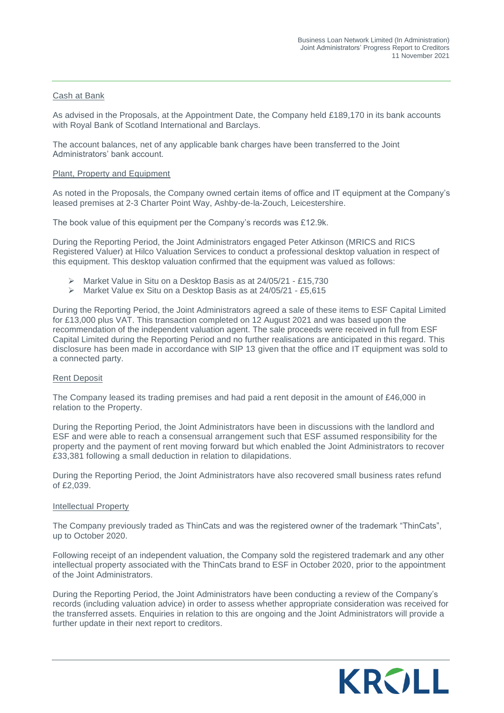#### Cash at Bank

As advised in the Proposals, at the Appointment Date, the Company held £189,170 in its bank accounts with Royal Bank of Scotland International and Barclays.

The account balances, net of any applicable bank charges have been transferred to the Joint Administrators' bank account.

#### Plant, Property and Equipment

As noted in the Proposals, the Company owned certain items of office and IT equipment at the Company's leased premises at 2-3 Charter Point Way, Ashby-de-la-Zouch, Leicestershire.

The book value of this equipment per the Company's records was £12.9k.

During the Reporting Period, the Joint Administrators engaged Peter Atkinson (MRICS and RICS Registered Valuer) at Hilco Valuation Services to conduct a professional desktop valuation in respect of this equipment. This desktop valuation confirmed that the equipment was valued as follows:

- ➢ Market Value in Situ on a Desktop Basis as at 24/05/21 £15,730
- ➢ Market Value ex Situ on a Desktop Basis as at 24/05/21 £5,615

During the Reporting Period, the Joint Administrators agreed a sale of these items to ESF Capital Limited for £13,000 plus VAT. This transaction completed on 12 August 2021 and was based upon the recommendation of the independent valuation agent. The sale proceeds were received in full from ESF Capital Limited during the Reporting Period and no further realisations are anticipated in this regard. This disclosure has been made in accordance with SIP 13 given that the office and IT equipment was sold to a connected party.

#### Rent Deposit

The Company leased its trading premises and had paid a rent deposit in the amount of £46,000 in relation to the Property.

During the Reporting Period, the Joint Administrators have been in discussions with the landlord and ESF and were able to reach a consensual arrangement such that ESF assumed responsibility for the property and the payment of rent moving forward but which enabled the Joint Administrators to recover £33,381 following a small deduction in relation to dilapidations.

During the Reporting Period, the Joint Administrators have also recovered small business rates refund of £2,039.

#### Intellectual Property

The Company previously traded as ThinCats and was the registered owner of the trademark "ThinCats", up to October 2020.

Following receipt of an independent valuation, the Company sold the registered trademark and any other intellectual property associated with the ThinCats brand to ESF in October 2020, prior to the appointment of the Joint Administrators.

During the Reporting Period, the Joint Administrators have been conducting a review of the Company's records (including valuation advice) in order to assess whether appropriate consideration was received for the transferred assets. Enquiries in relation to this are ongoing and the Joint Administrators will provide a further update in their next report to creditors.

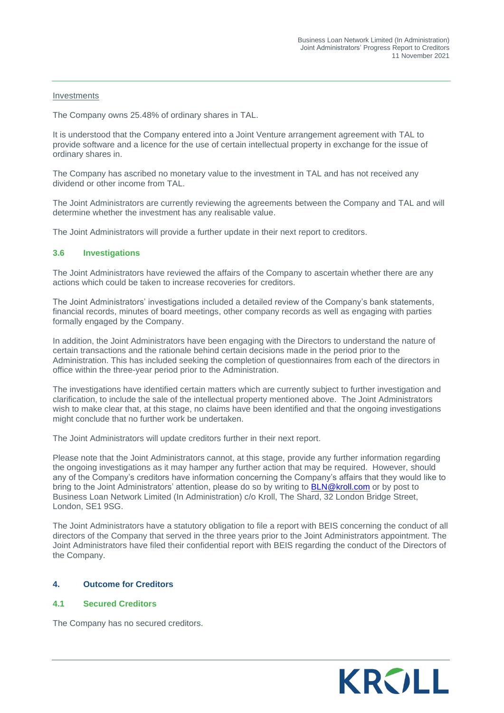#### **Investments**

The Company owns 25.48% of ordinary shares in TAL.

It is understood that the Company entered into a Joint Venture arrangement agreement with TAL to provide software and a licence for the use of certain intellectual property in exchange for the issue of ordinary shares in.

The Company has ascribed no monetary value to the investment in TAL and has not received any dividend or other income from TAL.

The Joint Administrators are currently reviewing the agreements between the Company and TAL and will determine whether the investment has any realisable value.

The Joint Administrators will provide a further update in their next report to creditors.

#### **3.6 Investigations**

The Joint Administrators have reviewed the affairs of the Company to ascertain whether there are any actions which could be taken to increase recoveries for creditors.

The Joint Administrators' investigations included a detailed review of the Company's bank statements, financial records, minutes of board meetings, other company records as well as engaging with parties formally engaged by the Company.

In addition, the Joint Administrators have been engaging with the Directors to understand the nature of certain transactions and the rationale behind certain decisions made in the period prior to the Administration. This has included seeking the completion of questionnaires from each of the directors in office within the three-year period prior to the Administration.

The investigations have identified certain matters which are currently subject to further investigation and clarification, to include the sale of the intellectual property mentioned above. The Joint Administrators wish to make clear that, at this stage, no claims have been identified and that the ongoing investigations might conclude that no further work be undertaken.

The Joint Administrators will update creditors further in their next report.

Please note that the Joint Administrators cannot, at this stage, provide any further information regarding the ongoing investigations as it may hamper any further action that may be required. However, should any of the Company's creditors have information concerning the Company's affairs that they would like to bring to the Joint Administrators' attention, please do so by writing to **BLN@kroll.com** or by post to Business Loan Network Limited (In Administration) c/o Kroll, The Shard, 32 London Bridge Street, London, SE1 9SG.

The Joint Administrators have a statutory obligation to file a report with BEIS concerning the conduct of all directors of the Company that served in the three years prior to the Joint Administrators appointment. The Joint Administrators have filed their confidential report with BEIS regarding the conduct of the Directors of the Company.

#### <span id="page-11-0"></span>**4. Outcome for Creditors**

#### **4.1 Secured Creditors**

The Company has no secured creditors.

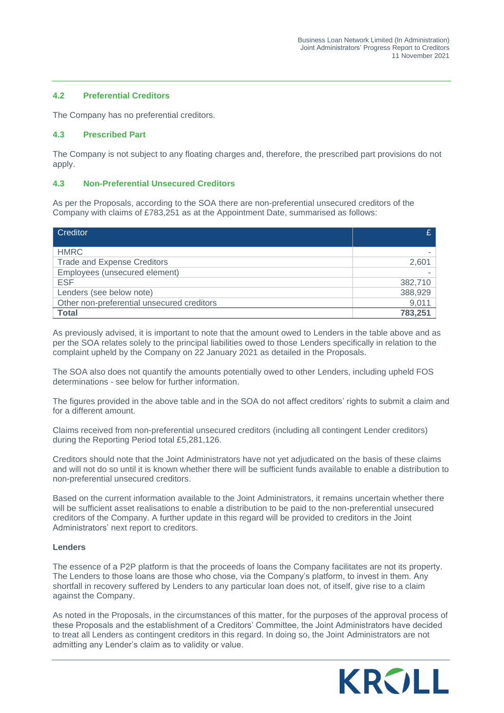#### **4.2 Preferential Creditors**

The Company has no preferential creditors.

#### **4.3 Prescribed Part**

The Company is not subject to any floating charges and, therefore, the prescribed part provisions do not apply.

#### **4.3 Non-Preferential Unsecured Creditors**

As per the Proposals, according to the SOA there are non-preferential unsecured creditors of the Company with claims of £783,251 as at the Appointment Date, summarised as follows:

| Creditor                                   | C       |
|--------------------------------------------|---------|
|                                            |         |
| <b>HMRC</b>                                |         |
| <b>Trade and Expense Creditors</b>         | 2,601   |
| Employees (unsecured element)              |         |
| <b>ESF</b>                                 | 382,710 |
| Lenders (see below note)                   | 388,929 |
| Other non-preferential unsecured creditors | 9,011   |
| <b>Total</b>                               | 783,251 |

As previously advised, it is important to note that the amount owed to Lenders in the table above and as per the SOA relates solely to the principal liabilities owed to those Lenders specifically in relation to the complaint upheld by the Company on 22 January 2021 as detailed in the Proposals.

The SOA also does not quantify the amounts potentially owed to other Lenders, including upheld FOS determinations - see below for further information.

The figures provided in the above table and in the SOA do not affect creditors' rights to submit a claim and for a different amount.

Claims received from non-preferential unsecured creditors (including all contingent Lender creditors) during the Reporting Period total £5,281,126.

Creditors should note that the Joint Administrators have not yet adjudicated on the basis of these claims and will not do so until it is known whether there will be sufficient funds available to enable a distribution to non-preferential unsecured creditors.

Based on the current information available to the Joint Administrators, it remains uncertain whether there will be sufficient asset realisations to enable a distribution to be paid to the non-preferential unsecured creditors of the Company. A further update in this regard will be provided to creditors in the Joint Administrators' next report to creditors.

#### **Lenders**

The essence of a P2P platform is that the proceeds of loans the Company facilitates are not its property. The Lenders to those loans are those who chose, via the Company's platform, to invest in them. Any shortfall in recovery suffered by Lenders to any particular loan does not, of itself, give rise to a claim against the Company.

As noted in the Proposals, in the circumstances of this matter, for the purposes of the approval process of these Proposals and the establishment of a Creditors' Committee, the Joint Administrators have decided to treat all Lenders as contingent creditors in this regard. In doing so, the Joint Administrators are not admitting any Lender's claim as to validity or value.

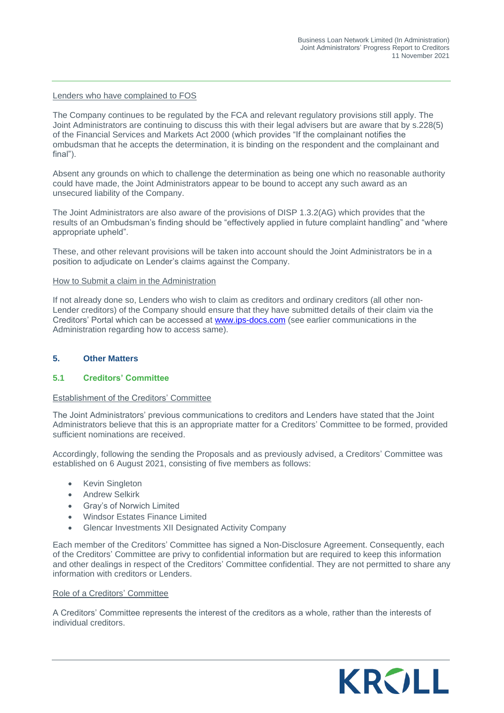#### Lenders who have complained to FOS

The Company continues to be regulated by the FCA and relevant regulatory provisions still apply. The Joint Administrators are continuing to discuss this with their legal advisers but are aware that by s.228(5) of the Financial Services and Markets Act 2000 (which provides "If the complainant notifies the ombudsman that he accepts the determination, it is binding on the respondent and the complainant and final").

Absent any grounds on which to challenge the determination as being one which no reasonable authority could have made, the Joint Administrators appear to be bound to accept any such award as an unsecured liability of the Company.

The Joint Administrators are also aware of the provisions of DISP 1.3.2(AG) which provides that the results of an Ombudsman's finding should be "effectively applied in future complaint handling" and "where appropriate upheld".

These, and other relevant provisions will be taken into account should the Joint Administrators be in a position to adjudicate on Lender's claims against the Company.

#### How to Submit a claim in the Administration

If not already done so, Lenders who wish to claim as creditors and ordinary creditors (all other non-Lender creditors) of the Company should ensure that they have submitted details of their claim via the Creditors' Portal which can be accessed at www.ips-docs.com (see earlier communications in the Administration regarding how to access same).

#### <span id="page-13-0"></span>**5. Other Matters**

#### **5.1 Creditors' Committee**

#### Establishment of the Creditors' Committee

The Joint Administrators' previous communications to creditors and Lenders have stated that the Joint Administrators believe that this is an appropriate matter for a Creditors' Committee to be formed, provided sufficient nominations are received.

Accordingly, following the sending the Proposals and as previously advised, a Creditors' Committee was established on 6 August 2021, consisting of five members as follows:

- **Kevin Singleton**
- Andrew Selkirk
- Gray's of Norwich Limited
- Windsor Estates Finance Limited
- Glencar Investments XII Designated Activity Company

Each member of the Creditors' Committee has signed a Non-Disclosure Agreement. Consequently, each of the Creditors' Committee are privy to confidential information but are required to keep this information and other dealings in respect of the Creditors' Committee confidential. They are not permitted to share any information with creditors or Lenders.

#### Role of a Creditors' Committee

A Creditors' Committee represents the interest of the creditors as a whole, rather than the interests of individual creditors.

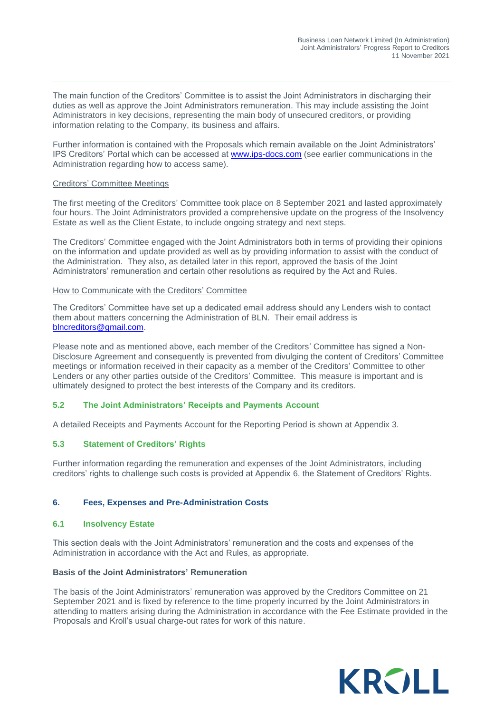The main function of the Creditors' Committee is to assist the Joint Administrators in discharging their duties as well as approve the Joint Administrators remuneration. This may include assisting the Joint Administrators in key decisions, representing the main body of unsecured creditors, or providing information relating to the Company, its business and affairs.

Further information is contained with the Proposals which remain available on the Joint Administrators' IPS Creditors' Portal which can be accessed at [www.ips-docs.com](http://www.ips-docs.com/) (see earlier communications in the Administration regarding how to access same).

#### Creditors' Committee Meetings

The first meeting of the Creditors' Committee took place on 8 September 2021 and lasted approximately four hours. The Joint Administrators provided a comprehensive update on the progress of the Insolvency Estate as well as the Client Estate, to include ongoing strategy and next steps.

The Creditors' Committee engaged with the Joint Administrators both in terms of providing their opinions on the information and update provided as well as by providing information to assist with the conduct of the Administration. They also, as detailed later in this report, approved the basis of the Joint Administrators' remuneration and certain other resolutions as required by the Act and Rules.

#### How to Communicate with the Creditors' Committee

The Creditors' Committee have set up a dedicated email address should any Lenders wish to contact them about matters concerning the Administration of BLN. Their email address is [blncreditors@gmail.com.](mailto:blncreditors@gmail.com)

Please note and as mentioned above, each member of the Creditors' Committee has signed a Non-Disclosure Agreement and consequently is prevented from divulging the content of Creditors' Committee meetings or information received in their capacity as a member of the Creditors' Committee to other Lenders or any other parties outside of the Creditors' Committee. This measure is important and is ultimately designed to protect the best interests of the Company and its creditors.

#### **5.2 The Joint Administrators' Receipts and Payments Account**

A detailed Receipts and Payments Account for the Reporting Period is shown at Appendix 3.

#### **5.3 Statement of Creditors' Rights**

Further information regarding the remuneration and expenses of the Joint Administrators, including creditors' rights to challenge such costs is provided at Appendix 6, the Statement of Creditors' Rights.

#### <span id="page-14-0"></span>**6. Fees, Expenses and Pre-Administration Costs**

#### **6.1 Insolvency Estate**

This section deals with the Joint Administrators' remuneration and the costs and expenses of the Administration in accordance with the Act and Rules, as appropriate.

#### **Basis of the Joint Administrators' Remuneration**

The basis of the Joint Administrators' remuneration was approved by the Creditors Committee on 21 September 2021 and is fixed by reference to the time properly incurred by the Joint Administrators in attending to matters arising during the Administration in accordance with the Fee Estimate provided in the Proposals and Kroll's usual charge-out rates for work of this nature.

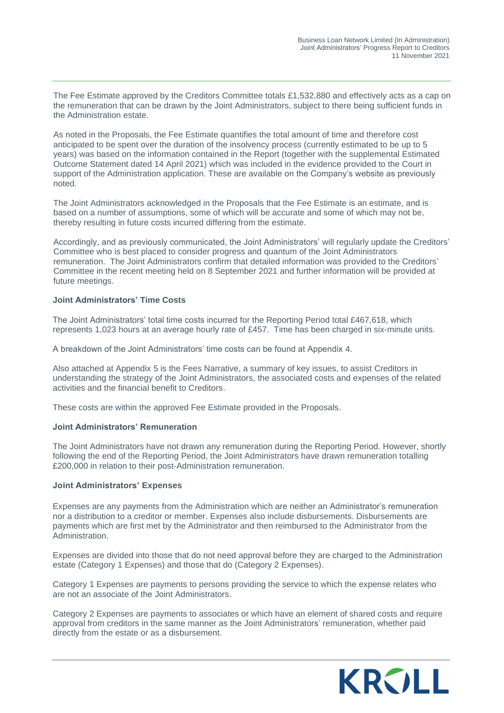The Fee Estimate approved by the Creditors Committee totals £1,532,880 and effectively acts as a cap on the remuneration that can be drawn by the Joint Administrators, subject to there being sufficient funds in the Administration estate.

As noted in the Proposals, the Fee Estimate quantifies the total amount of time and therefore cost anticipated to be spent over the duration of the insolvency process (currently estimated to be up to 5 years) was based on the information contained in the Report (together with the supplemental Estimated Outcome Statement dated 14 April 2021) which was included in the evidence provided to the Court in support of the Administration application. These are available on the Company's website as previously noted.

The Joint Administrators acknowledged in the Proposals that the Fee Estimate is an estimate, and is based on a number of assumptions, some of which will be accurate and some of which may not be, thereby resulting in future costs incurred differing from the estimate.

Accordingly, and as previously communicated, the Joint Administrators' will regularly update the Creditors' Committee who is best placed to consider progress and quantum of the Joint Administrators remuneration. The Joint Administrators confirm that detailed information was provided to the Creditors' Committee in the recent meeting held on 8 September 2021 and further information will be provided at future meetings.

#### **Joint Administrators' Time Costs**

The Joint Administrators' total time costs incurred for the Reporting Period total £467,618, which represents 1,023 hours at an average hourly rate of £457. Time has been charged in six-minute units.

A breakdown of the Joint Administrators' time costs can be found at Appendix 4.

Also attached at Appendix 5 is the Fees Narrative, a summary of key issues, to assist Creditors in understanding the strategy of the Joint Administrators, the associated costs and expenses of the related activities and the financial benefit to Creditors.

These costs are within the approved Fee Estimate provided in the Proposals.

#### **Joint Administrators' Remuneration**

The Joint Administrators have not drawn any remuneration during the Reporting Period. However, shortly following the end of the Reporting Period, the Joint Administrators have drawn remuneration totalling £200,000 in relation to their post-Administration remuneration.

#### **Joint Administrators' Expenses**

Expenses are any payments from the Administration which are neither an Administrator's remuneration nor a distribution to a creditor or member. Expenses also include disbursements. Disbursements are payments which are first met by the Administrator and then reimbursed to the Administrator from the Administration.

Expenses are divided into those that do not need approval before they are charged to the Administration estate (Category 1 Expenses) and those that do (Category 2 Expenses).

Category 1 Expenses are payments to persons providing the service to which the expense relates who are not an associate of the Joint Administrators.

Category 2 Expenses are payments to associates or which have an element of shared costs and require approval from creditors in the same manner as the Joint Administrators' remuneration, whether paid directly from the estate or as a disbursement.

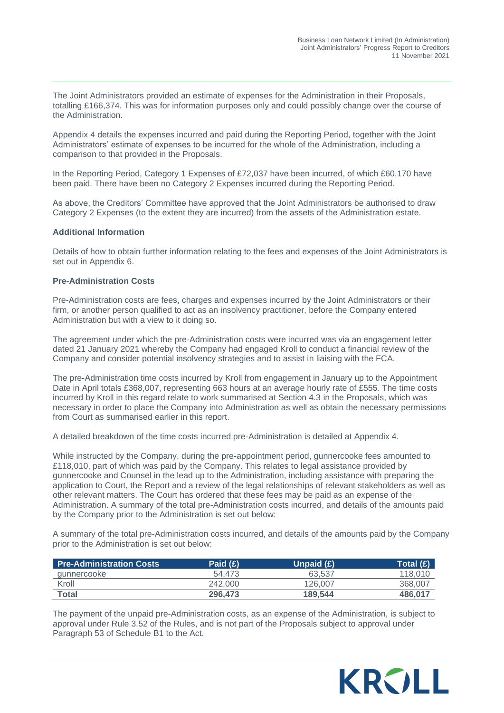The Joint Administrators provided an estimate of expenses for the Administration in their Proposals, totalling £166,374. This was for information purposes only and could possibly change over the course of the Administration.

Appendix 4 details the expenses incurred and paid during the Reporting Period, together with the Joint Administrators' estimate of expenses to be incurred for the whole of the Administration, including a comparison to that provided in the Proposals.

In the Reporting Period, Category 1 Expenses of £72,037 have been incurred, of which £60,170 have been paid. There have been no Category 2 Expenses incurred during the Reporting Period.

As above, the Creditors' Committee have approved that the Joint Administrators be authorised to draw Category 2 Expenses (to the extent they are incurred) from the assets of the Administration estate.

#### **Additional Information**

Details of how to obtain further information relating to the fees and expenses of the Joint Administrators is set out in Appendix 6.

#### **Pre-Administration Costs**

Pre-Administration costs are fees, charges and expenses incurred by the Joint Administrators or their firm, or another person qualified to act as an insolvency practitioner, before the Company entered Administration but with a view to it doing so.

The agreement under which the pre-Administration costs were incurred was via an engagement letter dated 21 January 2021 whereby the Company had engaged Kroll to conduct a financial review of the Company and consider potential insolvency strategies and to assist in liaising with the FCA.

The pre-Administration time costs incurred by Kroll from engagement in January up to the Appointment Date in April totals £368,007, representing 663 hours at an average hourly rate of £555. The time costs incurred by Kroll in this regard relate to work summarised at Section 4.3 in the Proposals, which was necessary in order to place the Company into Administration as well as obtain the necessary permissions from Court as summarised earlier in this report.

A detailed breakdown of the time costs incurred pre-Administration is detailed at Appendix 4.

While instructed by the Company, during the pre-appointment period, gunnercooke fees amounted to £118,010, part of which was paid by the Company. This relates to legal assistance provided by gunnercooke and Counsel in the lead up to the Administration, including assistance with preparing the application to Court, the Report and a review of the legal relationships of relevant stakeholders as well as other relevant matters. The Court has ordered that these fees may be paid as an expense of the Administration. A summary of the total pre-Administration costs incurred, and details of the amounts paid by the Company prior to the Administration is set out below:

A summary of the total pre-Administration costs incurred, and details of the amounts paid by the Company prior to the Administration is set out below:

| <b>Pre-Administration Costs</b> | Paid $(E)$ | Unpaid $(E)$ | Total (£) \ |
|---------------------------------|------------|--------------|-------------|
| gunnercooke                     | 54.473     | 63.537       | 118.010     |
| Kroll                           | 242,000    | 126,007      | 368,007     |
| <b>Total</b>                    | 296,473    | 189,544      | 486,017     |

The payment of the unpaid pre-Administration costs, as an expense of the Administration, is subject to approval under Rule 3.52 of the Rules, and is not part of the Proposals subject to approval under Paragraph 53 of Schedule B1 to the Act.

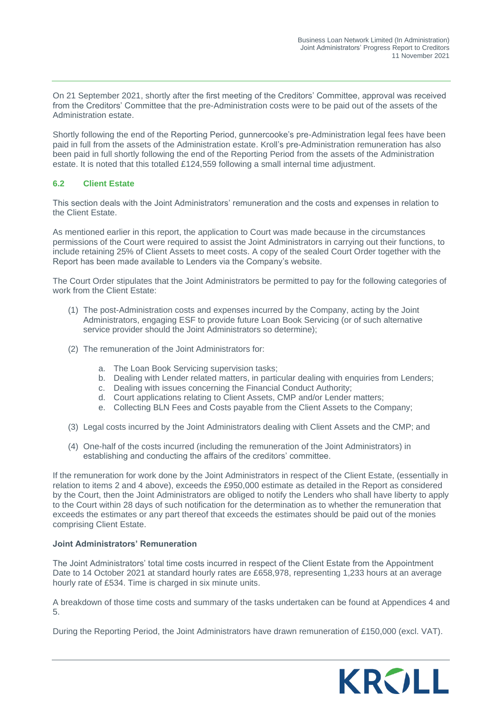On 21 September 2021, shortly after the first meeting of the Creditors' Committee, approval was received from the Creditors' Committee that the pre-Administration costs were to be paid out of the assets of the Administration estate.

Shortly following the end of the Reporting Period, gunnercooke's pre-Administration legal fees have been paid in full from the assets of the Administration estate. Kroll's pre-Administration remuneration has also been paid in full shortly following the end of the Reporting Period from the assets of the Administration estate. It is noted that this totalled £124,559 following a small internal time adjustment.

#### **6.2 Client Estate**

This section deals with the Joint Administrators' remuneration and the costs and expenses in relation to the Client Estate.

As mentioned earlier in this report, the application to Court was made because in the circumstances permissions of the Court were required to assist the Joint Administrators in carrying out their functions, to include retaining 25% of Client Assets to meet costs. A copy of the sealed Court Order together with the Report has been made available to Lenders via the Company's website.

The Court Order stipulates that the Joint Administrators be permitted to pay for the following categories of work from the Client Estate:

- (1) The post-Administration costs and expenses incurred by the Company, acting by the Joint Administrators, engaging ESF to provide future Loan Book Servicing (or of such alternative service provider should the Joint Administrators so determine);
- (2) The remuneration of the Joint Administrators for:
	- a. The Loan Book Servicing supervision tasks;
	- b. Dealing with Lender related matters, in particular dealing with enquiries from Lenders;
	- c. Dealing with issues concerning the Financial Conduct Authority;
	- d. Court applications relating to Client Assets, CMP and/or Lender matters;
	- e. Collecting BLN Fees and Costs payable from the Client Assets to the Company;
- (3) Legal costs incurred by the Joint Administrators dealing with Client Assets and the CMP; and
- (4) One-half of the costs incurred (including the remuneration of the Joint Administrators) in establishing and conducting the affairs of the creditors' committee.

If the remuneration for work done by the Joint Administrators in respect of the Client Estate, (essentially in relation to items 2 and 4 above), exceeds the £950,000 estimate as detailed in the Report as considered by the Court, then the Joint Administrators are obliged to notify the Lenders who shall have liberty to apply to the Court within 28 days of such notification for the determination as to whether the remuneration that exceeds the estimates or any part thereof that exceeds the estimates should be paid out of the monies comprising Client Estate.

#### **Joint Administrators' Remuneration**

The Joint Administrators' total time costs incurred in respect of the Client Estate from the Appointment Date to 14 October 2021 at standard hourly rates are £658,978, representing 1,233 hours at an average hourly rate of £534. Time is charged in six minute units.

A breakdown of those time costs and summary of the tasks undertaken can be found at Appendices 4 and 5.

During the Reporting Period, the Joint Administrators have drawn remuneration of £150,000 (excl. VAT).

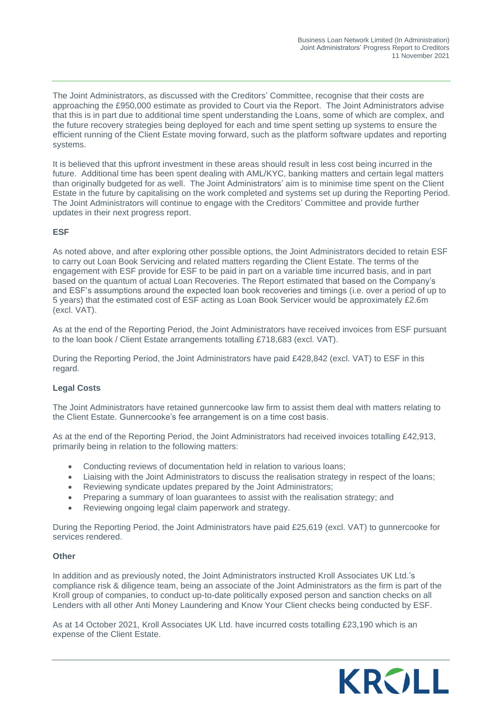The Joint Administrators, as discussed with the Creditors' Committee, recognise that their costs are approaching the £950,000 estimate as provided to Court via the Report. The Joint Administrators advise that this is in part due to additional time spent understanding the Loans, some of which are complex, and the future recovery strategies being deployed for each and time spent setting up systems to ensure the efficient running of the Client Estate moving forward, such as the platform software updates and reporting systems.

It is believed that this upfront investment in these areas should result in less cost being incurred in the future. Additional time has been spent dealing with AML/KYC, banking matters and certain legal matters than originally budgeted for as well. The Joint Administrators' aim is to minimise time spent on the Client Estate in the future by capitalising on the work completed and systems set up during the Reporting Period. The Joint Administrators will continue to engage with the Creditors' Committee and provide further updates in their next progress report.

#### **ESF**

As noted above, and after exploring other possible options, the Joint Administrators decided to retain ESF to carry out Loan Book Servicing and related matters regarding the Client Estate. The terms of the engagement with ESF provide for ESF to be paid in part on a variable time incurred basis, and in part based on the quantum of actual Loan Recoveries. The Report estimated that based on the Company's and ESF's assumptions around the expected loan book recoveries and timings (i.e. over a period of up to 5 years) that the estimated cost of ESF acting as Loan Book Servicer would be approximately £2.6m (excl. VAT).

As at the end of the Reporting Period, the Joint Administrators have received invoices from ESF pursuant to the loan book / Client Estate arrangements totalling £718,683 (excl. VAT).

During the Reporting Period, the Joint Administrators have paid £428,842 (excl. VAT) to ESF in this regard.

#### **Legal Costs**

The Joint Administrators have retained gunnercooke law firm to assist them deal with matters relating to the Client Estate. Gunnercooke's fee arrangement is on a time cost basis.

As at the end of the Reporting Period, the Joint Administrators had received invoices totalling £42,913, primarily being in relation to the following matters:

- Conducting reviews of documentation held in relation to various loans;
- Liaising with the Joint Administrators to discuss the realisation strategy in respect of the loans;
- Reviewing syndicate updates prepared by the Joint Administrators;
- Preparing a summary of loan guarantees to assist with the realisation strategy; and
- Reviewing ongoing legal claim paperwork and strategy.

During the Reporting Period, the Joint Administrators have paid £25,619 (excl. VAT) to gunnercooke for services rendered.

#### **Other**

In addition and as previously noted, the Joint Administrators instructed Kroll Associates UK Ltd.'s compliance risk & diligence team, being an associate of the Joint Administrators as the firm is part of the Kroll group of companies, to conduct up-to-date politically exposed person and sanction checks on all Lenders with all other Anti Money Laundering and Know Your Client checks being conducted by ESF.

As at 14 October 2021, Kroll Associates UK Ltd. have incurred costs totalling £23,190 which is an expense of the Client Estate.

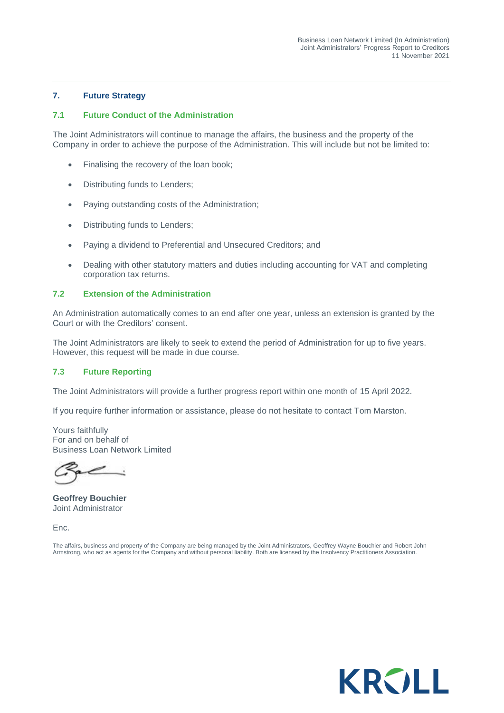#### <span id="page-19-0"></span>**7. Future Strategy**

#### **7.1 Future Conduct of the Administration**

The Joint Administrators will continue to manage the affairs, the business and the property of the Company in order to achieve the purpose of the Administration. This will include but not be limited to:

- Finalising the recovery of the loan book;
- Distributing funds to Lenders;
- Paying outstanding costs of the Administration;
- Distributing funds to Lenders;
- Paying a dividend to Preferential and Unsecured Creditors; and
- Dealing with other statutory matters and duties including accounting for VAT and completing corporation tax returns.

#### **7.2 Extension of the Administration**

An Administration automatically comes to an end after one year, unless an extension is granted by the Court or with the Creditors' consent.

The Joint Administrators are likely to seek to extend the period of Administration for up to five years. However, this request will be made in due course.

#### **7.3 Future Reporting**

The Joint Administrators will provide a further progress report within one month of 15 April 2022.

If you require further information or assistance, please do not hesitate to contact Tom Marston.

Yours faithfully For and on behalf of Business Loan Network Limited

**Geoffrey Bouchier** Joint Administrator

Enc.

The affairs, business and property of the Company are being managed by the Joint Administrators, Geoffrey Wayne Bouchier and Robert John Armstrong, who act as agents for the Company and without personal liability. Both are licensed by the Insolvency Practitioners Association.

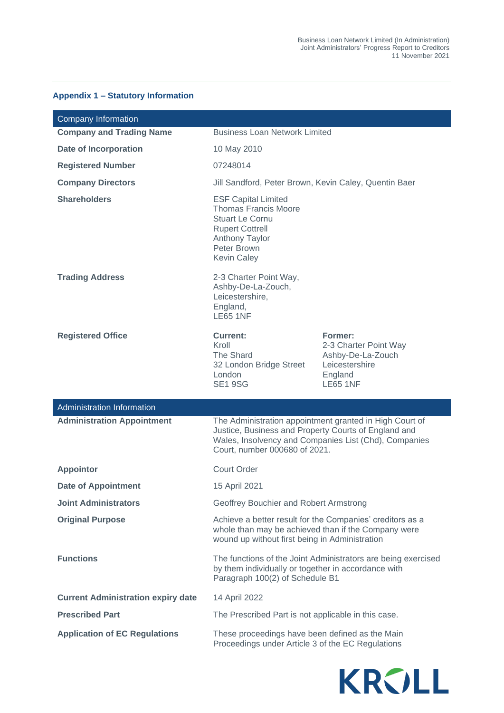#### **Appendix 1 – Statutory Information**

| <b>Company Information</b>                |                                                                                                                                                                             |                                                                                                       |  |  |  |
|-------------------------------------------|-----------------------------------------------------------------------------------------------------------------------------------------------------------------------------|-------------------------------------------------------------------------------------------------------|--|--|--|
| <b>Company and Trading Name</b>           | <b>Business Loan Network Limited</b>                                                                                                                                        |                                                                                                       |  |  |  |
| <b>Date of Incorporation</b>              | 10 May 2010                                                                                                                                                                 |                                                                                                       |  |  |  |
| <b>Registered Number</b>                  | 07248014                                                                                                                                                                    |                                                                                                       |  |  |  |
| <b>Company Directors</b>                  | Jill Sandford, Peter Brown, Kevin Caley, Quentin Baer                                                                                                                       |                                                                                                       |  |  |  |
| <b>Shareholders</b>                       | <b>ESF Capital Limited</b><br><b>Thomas Francis Moore</b><br><b>Stuart Le Cornu</b><br><b>Rupert Cottrell</b><br><b>Anthony Taylor</b><br>Peter Brown<br><b>Kevin Caley</b> |                                                                                                       |  |  |  |
| <b>Trading Address</b>                    | 2-3 Charter Point Way,<br>Ashby-De-La-Zouch,<br>Leicestershire,<br>England,<br><b>LE65 1NF</b>                                                                              |                                                                                                       |  |  |  |
| <b>Registered Office</b>                  | <b>Current:</b><br>Kroll<br>The Shard<br>32 London Bridge Street<br>London<br><b>SE1 9SG</b>                                                                                | Former:<br>2-3 Charter Point Way<br>Ashby-De-La-Zouch<br>Leicestershire<br>England<br><b>LE65 1NF</b> |  |  |  |
| <b>Administration Information</b>         |                                                                                                                                                                             |                                                                                                       |  |  |  |
| <b>Administration Appointment</b>         | The Administration appointment granted in High Court of<br>Justice, Business and Property Courts of England and<br>Court, number 000680 of 2021.                            | Wales, Insolvency and Companies List (Chd), Companies                                                 |  |  |  |
| <b>Appointor</b>                          | <b>Court Order</b>                                                                                                                                                          |                                                                                                       |  |  |  |
| <b>Date of Appointment</b>                | 15 April 2021                                                                                                                                                               |                                                                                                       |  |  |  |
| <b>Joint Administrators</b>               | Geoffrey Bouchier and Robert Armstrong                                                                                                                                      |                                                                                                       |  |  |  |
| <b>Original Purpose</b>                   | Achieve a better result for the Companies' creditors as a<br>whole than may be achieved than if the Company were<br>wound up without first being in Administration          |                                                                                                       |  |  |  |
| <b>Functions</b>                          | The functions of the Joint Administrators are being exercised<br>by them individually or together in accordance with<br>Paragraph 100(2) of Schedule B1                     |                                                                                                       |  |  |  |
| <b>Current Administration expiry date</b> | 14 April 2022                                                                                                                                                               |                                                                                                       |  |  |  |
| <b>Prescribed Part</b>                    | The Prescribed Part is not applicable in this case.                                                                                                                         |                                                                                                       |  |  |  |
| <b>Application of EC Regulations</b>      | These proceedings have been defined as the Main<br>Proceedings under Article 3 of the EC Regulations                                                                        |                                                                                                       |  |  |  |

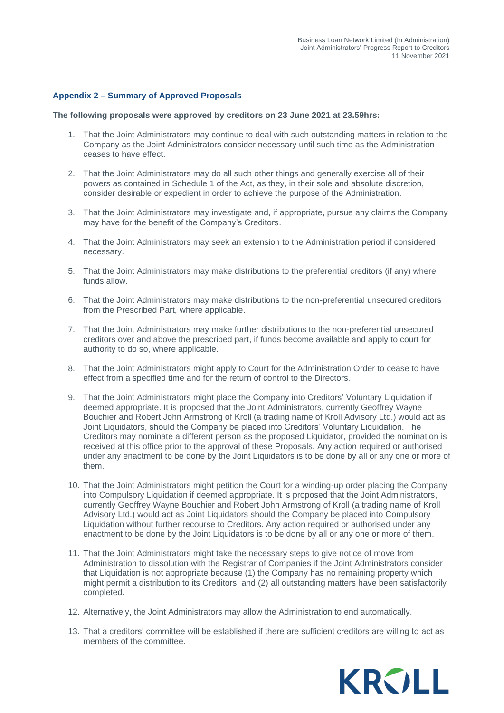#### **Appendix 2 – Summary of Approved Proposals**

#### **The following proposals were approved by creditors on 23 June 2021 at 23.59hrs:**

- 1. That the Joint Administrators may continue to deal with such outstanding matters in relation to the Company as the Joint Administrators consider necessary until such time as the Administration ceases to have effect.
- 2. That the Joint Administrators may do all such other things and generally exercise all of their powers as contained in Schedule 1 of the Act, as they, in their sole and absolute discretion, consider desirable or expedient in order to achieve the purpose of the Administration.
- 3. That the Joint Administrators may investigate and, if appropriate, pursue any claims the Company may have for the benefit of the Company's Creditors.
- 4. That the Joint Administrators may seek an extension to the Administration period if considered necessary.
- 5. That the Joint Administrators may make distributions to the preferential creditors (if any) where funds allow.
- 6. That the Joint Administrators may make distributions to the non-preferential unsecured creditors from the Prescribed Part, where applicable.
- 7. That the Joint Administrators may make further distributions to the non-preferential unsecured creditors over and above the prescribed part, if funds become available and apply to court for authority to do so, where applicable.
- 8. That the Joint Administrators might apply to Court for the Administration Order to cease to have effect from a specified time and for the return of control to the Directors.
- 9. That the Joint Administrators might place the Company into Creditors' Voluntary Liquidation if deemed appropriate. It is proposed that the Joint Administrators, currently Geoffrey Wayne Bouchier and Robert John Armstrong of Kroll (a trading name of Kroll Advisory Ltd.) would act as Joint Liquidators, should the Company be placed into Creditors' Voluntary Liquidation. The Creditors may nominate a different person as the proposed Liquidator, provided the nomination is received at this office prior to the approval of these Proposals. Any action required or authorised under any enactment to be done by the Joint Liquidators is to be done by all or any one or more of them.
- 10. That the Joint Administrators might petition the Court for a winding-up order placing the Company into Compulsory Liquidation if deemed appropriate. It is proposed that the Joint Administrators, currently Geoffrey Wayne Bouchier and Robert John Armstrong of Kroll (a trading name of Kroll Advisory Ltd.) would act as Joint Liquidators should the Company be placed into Compulsory Liquidation without further recourse to Creditors. Any action required or authorised under any enactment to be done by the Joint Liquidators is to be done by all or any one or more of them.
- 11. That the Joint Administrators might take the necessary steps to give notice of move from Administration to dissolution with the Registrar of Companies if the Joint Administrators consider that Liquidation is not appropriate because (1) the Company has no remaining property which might permit a distribution to its Creditors, and (2) all outstanding matters have been satisfactorily completed.
- 12. Alternatively, the Joint Administrators may allow the Administration to end automatically.
- 13. That a creditors' committee will be established if there are sufficient creditors are willing to act as members of the committee.

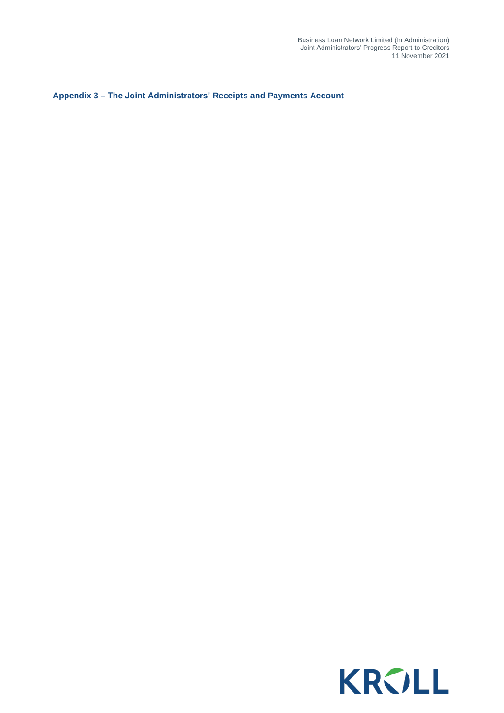**Appendix 3 – The Joint Administrators' Receipts and Payments Account**

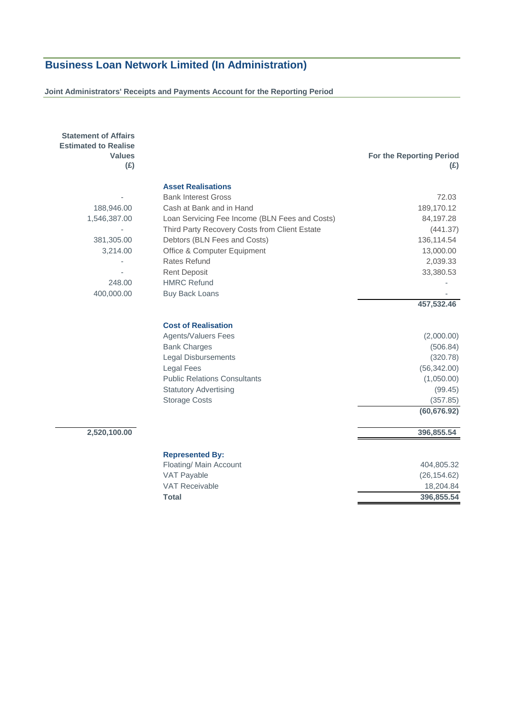#### **Joint Administrators' Receipts and Payments Account for the Reporting Period**

| <b>Statement of Affairs</b><br><b>Estimated to Realise</b><br><b>Values</b><br>(E) |                                                  | For the Reporting Period<br>(E) |
|------------------------------------------------------------------------------------|--------------------------------------------------|---------------------------------|
|                                                                                    | <b>Asset Realisations</b>                        |                                 |
|                                                                                    | <b>Bank Interest Gross</b>                       | 72.03                           |
| 188,946.00                                                                         | Cash at Bank and in Hand                         | 189,170.12                      |
| 1,546,387.00                                                                       | Loan Servicing Fee Income (BLN Fees and Costs)   | 84,197.28                       |
|                                                                                    | Third Party Recovery Costs from Client Estate    | (441.37)                        |
| 381,305.00                                                                         | Debtors (BLN Fees and Costs)                     | 136,114.54                      |
| 3,214.00                                                                           | Office & Computer Equipment                      | 13,000.00                       |
|                                                                                    | <b>Rates Refund</b>                              | 2,039.33                        |
|                                                                                    | <b>Rent Deposit</b>                              | 33,380.53                       |
| 248.00                                                                             | <b>HMRC Refund</b>                               |                                 |
| 400,000.00                                                                         | <b>Buy Back Loans</b>                            |                                 |
|                                                                                    |                                                  | 457,532.46                      |
|                                                                                    | <b>Cost of Realisation</b>                       |                                 |
|                                                                                    | Agents/Valuers Fees                              | (2,000.00)                      |
|                                                                                    | <b>Bank Charges</b>                              | (506.84)                        |
|                                                                                    | <b>Legal Disbursements</b>                       | (320.78)                        |
|                                                                                    | <b>Legal Fees</b>                                | (56, 342.00)                    |
|                                                                                    | <b>Public Relations Consultants</b>              | (1,050.00)                      |
|                                                                                    | <b>Statutory Advertising</b>                     | (99.45)                         |
|                                                                                    | <b>Storage Costs</b>                             | (357.85)                        |
|                                                                                    |                                                  | (60, 676.92)                    |
| 2,520,100.00                                                                       |                                                  | 396,855.54                      |
|                                                                                    |                                                  |                                 |
|                                                                                    | <b>Represented By:</b><br>Floating/ Main Account | 404,805.32                      |
|                                                                                    | VAT Payable                                      | (26, 154.62)                    |
|                                                                                    | <b>VAT Receivable</b>                            | 18,204.84                       |
|                                                                                    | <b>Total</b>                                     | 396,855.54                      |
|                                                                                    |                                                  |                                 |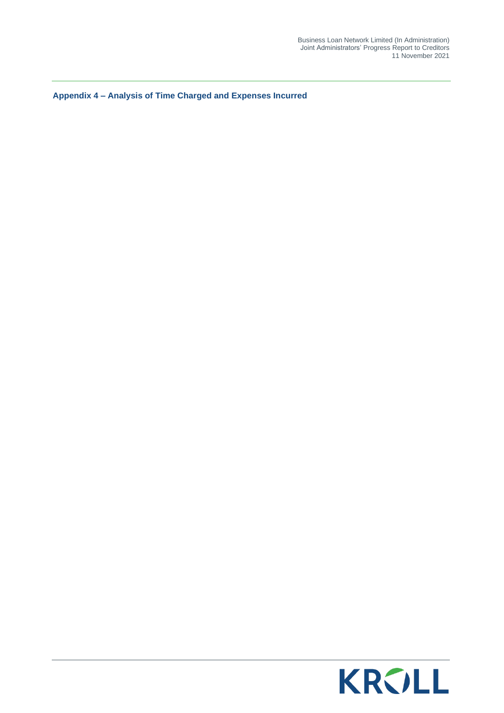**Appendix 4 – Analysis of Time Charged and Expenses Incurred**

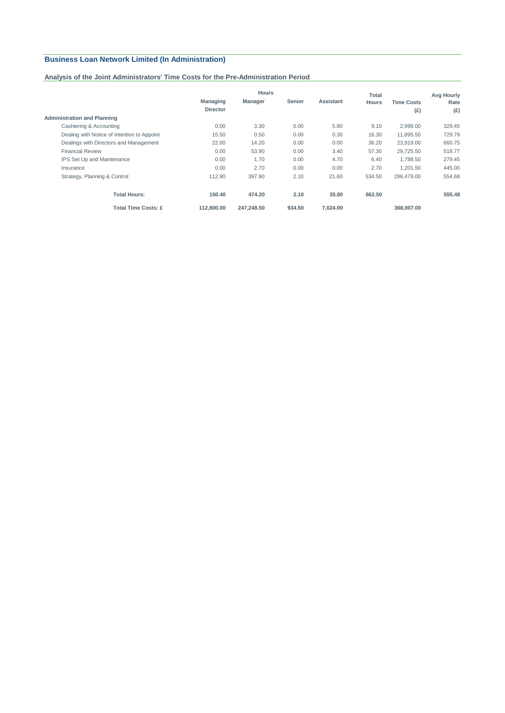#### **Analysis of the Joint Administrators' Time Costs for the Pre-Administration Period**

|                                             | <b>Hours</b>                       |                |               | Total            | Avg Hourly   |                          |             |
|---------------------------------------------|------------------------------------|----------------|---------------|------------------|--------------|--------------------------|-------------|
|                                             | <b>Managing</b><br><b>Director</b> | <b>Manager</b> | <b>Senior</b> | <b>Assistant</b> | <b>Hours</b> | <b>Time Costs</b><br>(E) | Rate<br>(E) |
| <b>Administration and Planning</b>          |                                    |                |               |                  |              |                          |             |
| Cashiering & Accounting                     | 0.00                               | 3.30           | 0.00          | 5.80             | 9.10         | 2.998.00                 | 329.45      |
| Dealing with Notice of Intention to Appoint | 15.50                              | 0.50           | 0.00          | 0.30             | 16.30        | 11.895.50                | 729.79      |
| Dealings with Directors and Management      | 22.00                              | 14.20          | 0.00          | 0.00             | 36.20        | 23,919.00                | 660.75      |
| <b>Financial Review</b>                     | 0.00                               | 53.90          | 0.00          | 3.40             | 57.30        | 29.725.50                | 518.77      |
| IPS Set Up and Maintenance                  | 0.00                               | 1.70           | 0.00          | 4.70             | 6.40         | 1.788.50                 | 279.45      |
| Insurance                                   | 0.00                               | 2.70           | 0.00          | 0.00             | 2.70         | 1.201.50                 | 445.00      |
| Strategy, Planning & Control                | 112.90                             | 397.90         | 2.10          | 21.60            | 534.50       | 296.479.00               | 554.68      |
| <b>Total Hours:</b>                         | 150.40                             | 474.20         | 2.10          | 35.80            | 662.50       |                          | 555.48      |
| <b>Total Time Costs: £</b>                  | 112.800.00                         | 247.248.50     | 934.50        | 7.024.00         |              | 368,007,00               |             |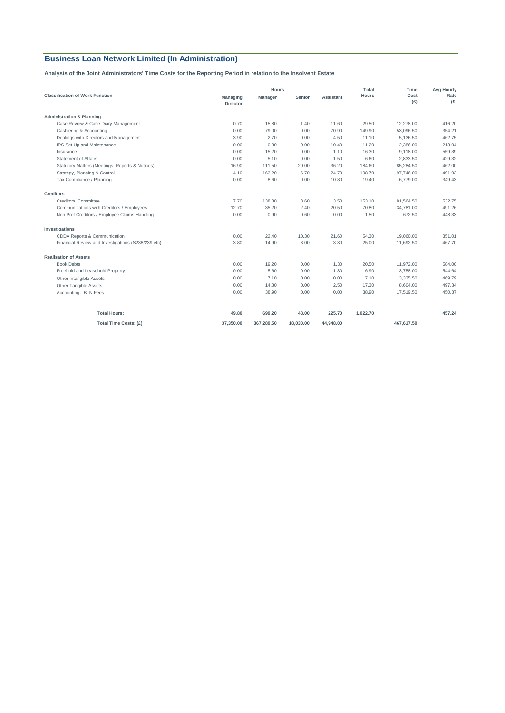**Analysis of the Joint Administrators' Time Costs for the Reporting Period in relation to the Insolvent Estate**

|                                                    | <b>Hours</b>                       |            |           |                  | Total        | Time        | <b>Avg Hourly</b> |
|----------------------------------------------------|------------------------------------|------------|-----------|------------------|--------------|-------------|-------------------|
| <b>Classification of Work Function</b>             | <b>Managing</b><br><b>Director</b> | Manager    | Senior    | <b>Assistant</b> | <b>Hours</b> | Cost<br>(E) | Rate<br>(E)       |
| <b>Administration &amp; Planning</b>               |                                    |            |           |                  |              |             |                   |
| Case Review & Case Diary Management                | 0.70                               | 15.80      | 1.40      | 11.60            | 29.50        | 12,278.00   | 416.20            |
| Cashiering & Accounting                            | 0.00                               | 79.00      | 0.00      | 70.90            | 149.90       | 53,096.50   | 354.21            |
| Dealings with Directors and Management             | 3.90                               | 2.70       | 0.00      | 4.50             | 11.10        | 5,136.50    | 462.75            |
| IPS Set Up and Maintenance                         | 0.00                               | 0.80       | 0.00      | 10.40            | 11.20        | 2,386.00    | 213.04            |
| Insurance                                          | 0.00                               | 15.20      | 0.00      | 1.10             | 16.30        | 9,118.00    | 559.39            |
| <b>Statement of Affairs</b>                        | 0.00                               | 5.10       | 0.00      | 1.50             | 6.60         | 2,833.50    | 429.32            |
| Statutory Matters (Meetings, Reports & Notices)    | 16.90                              | 111.50     | 20.00     | 36.20            | 184.60       | 85,284.50   | 462.00            |
| Strategy, Planning & Control                       | 4.10                               | 163.20     | 6.70      | 24.70            | 198.70       | 97,746.00   | 491.93            |
| Tax Compliance / Planning                          | 0.00                               | 8.60       | 0.00      | 10.80            | 19.40        | 6,779.00    | 349.43            |
| <b>Creditors</b>                                   |                                    |            |           |                  |              |             |                   |
| Creditors' Committee                               | 7.70                               | 138.30     | 3.60      | 3.50             | 153.10       | 81,564.50   | 532.75            |
| Communications with Creditors / Employees          | 12.70                              | 35.20      | 2.40      | 20.50            | 70.80        | 34.781.00   | 491.26            |
| Non Pref Creditors / Employee Claims Handling      | 0.00                               | 0.90       | 0.60      | 0.00             | 1.50         | 672.50      | 448.33            |
| Investigations                                     |                                    |            |           |                  |              |             |                   |
| CDDA Reports & Communication                       | 0.00                               | 22.40      | 10.30     | 21.60            | 54.30        | 19.060.00   | 351.01            |
| Financial Review and Investigations (S238/239 etc) | 3.80                               | 14.90      | 3.00      | 3.30             | 25.00        | 11,692.50   | 467.70            |
| <b>Realisation of Assets</b>                       |                                    |            |           |                  |              |             |                   |
| <b>Book Debts</b>                                  | 0.00                               | 19.20      | 0.00      | 1.30             | 20.50        | 11,972.00   | 584.00            |
| Freehold and Leasehold Property                    | 0.00                               | 5.60       | 0.00      | 1.30             | 6.90         | 3,758.00    | 544.64            |
| Other Intangible Assets                            | 0.00                               | 7.10       | 0.00      | 0.00             | 7.10         | 3,335.50    | 469.79            |
| Other Tangible Assets                              | 0.00                               | 14.80      | 0.00      | 2.50             | 17.30        | 8,604.00    | 497.34            |
| Accounting - BLN Fees                              | 0.00                               | 38.90      | 0.00      | 0.00             | 38.90        | 17,519.50   | 450.37            |
| <b>Total Hours:</b>                                | 49.80                              | 699.20     | 48.00     | 225.70           | 1,022.70     |             | 457.24            |
| Total Time Costs: (£)                              | 37,350.00                          | 367,289.50 | 18,030.00 | 44,948.00        |              | 467,617.50  |                   |
|                                                    |                                    |            |           |                  |              |             |                   |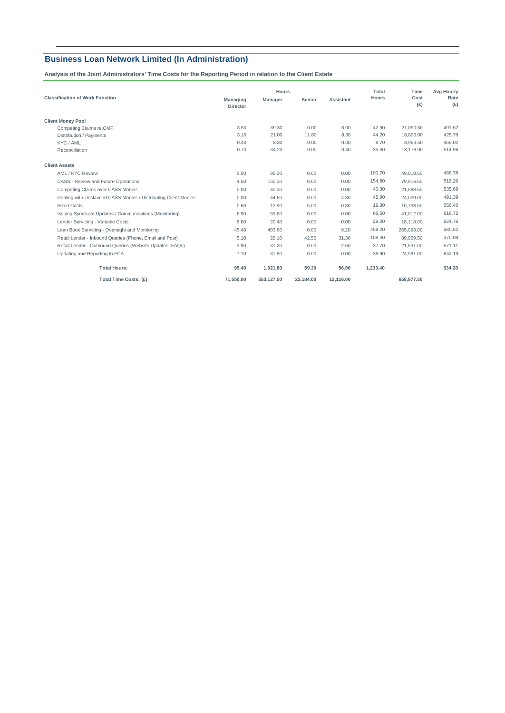**Analysis of the Joint Administrators' Time Costs for the Reporting Period in relation to the Client Estate**

|                                                                 |                                    | <b>Hours</b>   |           |           |              | Time        | <b>Avg Hourly</b> |  |
|-----------------------------------------------------------------|------------------------------------|----------------|-----------|-----------|--------------|-------------|-------------------|--|
| <b>Classification of Work Function</b>                          | <b>Managing</b><br><b>Director</b> | <b>Manager</b> | Senior    | Assistant | <b>Hours</b> | Cost<br>(E) | Rate<br>(E)       |  |
| <b>Client Money Pool</b>                                        |                                    |                |           |           |              |             |                   |  |
| Competing Claims re.CMP                                         | 3.60                               | 39.30          | 0.00      | 0.00      | 42.90        | 21.090.50   | 491.62            |  |
| Distribution / Payments                                         | 3.10                               | 21.00          | 11.80     | 8.30      | 44.20        | 18,820.00   | 425.79            |  |
| KYC / AML                                                       | 0.40                               | 8.30           | 0.00      | 0.00      | 8.70         | 3.993.50    | 459.02            |  |
| Reconciliation                                                  | 0.70                               | 34.20          | 0.00      | 0.40      | 35.30        | 18.178.00   | 514.96            |  |
| <b>Client Assets</b>                                            |                                    |                |           |           |              |             |                   |  |
| AML / KYC Review                                                | 5.50                               | 95.20          | 0.00      | 0.00      | 100.70       | 49,018.50   | 486.78            |  |
| CASS - Review and Future Operations                             | 4.50                               | 150.30         | 0.00      | 0.00      | 154.80       | 79.916.50   | 516.26            |  |
| <b>Competing Claims over CASS Monies</b>                        | 0.00                               | 40.30          | 0.00      | 0.00      | 40.30        | 21.588.50   | 535.69            |  |
| Dealing with Unclaimed CASS Monies / Distributing Client Monies | 0.00                               | 44.60          | 0.00      | 4.30      | 48.90        | 24.029.00   | 491.39            |  |
| <b>Fixed Costs</b>                                              | 0.60                               | 12.90          | 5.00      | 0.80      | 19.30        | 10.738.50   | 556.40            |  |
| Issuing Syndicate Updates / Communications (Monitoring)         | 6.90                               | 59.60          | 0.00      | 0.00      | 66.50        | 41.012.00   | 616.72            |  |
| Lender Servicing - Variable Costs                               | 8.60                               | 20.40          | 0.00      | 0.00      | 29.00        | 18.118.00   | 624.76            |  |
| Loan Book Servicing - Oversight and Monitoring                  | 45.40                              | 403.60         | 0.00      | 9.20      | 458.20       | 265,993.00  | 580.52            |  |
| Retail Lender - Inbound Queries (Phone, Email and Post)         | 5.10                               | 29.10          | 42.50     | 31.30     | 108.00       | 39,969.50   | 370.09            |  |
| Retail Lender - Outbound Queries (Website Updates, FAQs)        | 3.90                               | 31.20          | 0.00      | 2.60      | 37.70        | 21.531.00   | 571.11            |  |
| Updating and Reporting to FCA                                   | 7.10                               | 31.80          | 0.00      | 0.00      | 38.90        | 24.981.00   | 642.19            |  |
| <b>Total Hours:</b>                                             | 95.40                              | 1,021.80       | 59.30     | 56.90     | 1,233.40     |             | 534.28            |  |
| Total Time Costs: (£)                                           | 71.550.00                          | 553.127.50     | 22.184.00 | 12.116.00 |              | 658.977.50  |                   |  |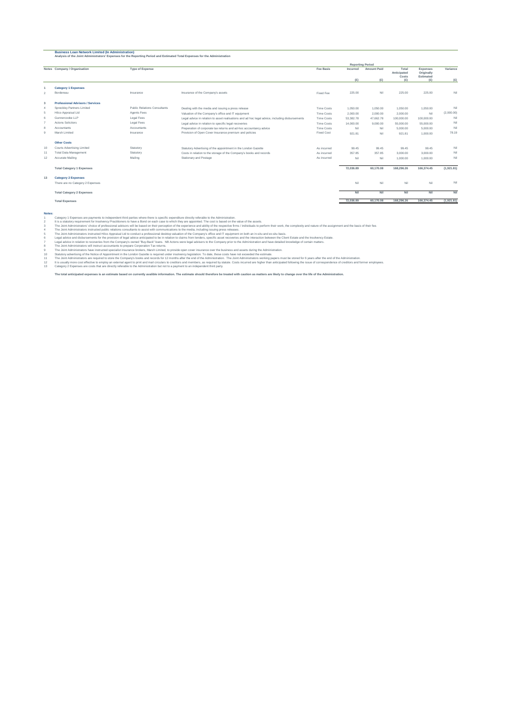#### **Business Loan Network Limited (In Administration) Analysis of the Joint Administrators' Expenses for the Reporting Period and Estimated Total Expenses for the Administration**

|                | Notes Company / Organisation            | <b>Type of Expense</b>       |                                                                                                 | <b>Fee Basis</b>  | Incurred  | <b>Amount Paid</b> | Total<br>Anticipated<br>Costs | Expenses<br>Originally<br>Estimated | Variance   |
|----------------|-----------------------------------------|------------------------------|-------------------------------------------------------------------------------------------------|-------------------|-----------|--------------------|-------------------------------|-------------------------------------|------------|
|                |                                         |                              |                                                                                                 |                   | (E)       | (E)                | (E)                           | (E)                                 | (E)        |
|                | <b>Category 1 Expenses</b>              |                              |                                                                                                 |                   |           |                    |                               |                                     |            |
| $\overline{2}$ | Bordereau                               | Insurance                    | Insurance of the Company's assets                                                               | Fixed Fee         | 225.00    | Nil                | 225.00                        | 225.00                              | Nil        |
| 3              | <b>Professional Advisors / Services</b> |                              |                                                                                                 |                   |           |                    |                               |                                     |            |
| $\Delta$       | Spreckley Partners Limited              | Public Relations Consultants | Dealing with the media and issuing a press release                                              | <b>Time Costs</b> | 1.050.00  | 1.050.00           | 1.050.00                      | 1.050.00                            | Nil        |
| 5              | Hilco Appraisal Ltd                     | Agents Fees                  | Valuation of the Company's office and IT equipment                                              | <b>Time Costs</b> | 2,000.00  | 2.000.00           | 2.000.00                      | Nil                                 | (2,000.00) |
| 6              | Gunnercooke LLP                         | Legal Fees                   | Legal advice in relation to asset realisations and ad hoc legal advice, including disbursements | Time Costs        | 53,382.78 | 47.662.78          | 100,000.00                    | 100,000.00                          | Nil        |
|                | Actons Solicitors                       | Legal Fees                   | Legal advice in relation to specific legal recoveries                                           | Time Costs        | 14,000.00 | 9.000.00           | 55,000.00                     | 55,000.00                           | Nil        |
| 8              | Accountants                             | Accountants                  | Preperation of corporate tax returns and ad-hoc accountancy advice                              | Time Costs        | Nil       | Nil                | 5.000.00                      | 5,000.00                            | Nil        |
| 9              | Marsh Limited                           | Insurance                    | Provision of Open Cover Insurance premium and policies                                          | <b>Fixed Cost</b> | 921.81    | Nil                | 921.81                        | 1.000.00                            | 78.19      |
|                | <b>Other Costs</b>                      |                              |                                                                                                 |                   |           |                    |                               |                                     |            |
| 10             | Courts Advertising Limited              | Statutory                    | Statutory Advertising of the appointment in the London Gazette                                  | As incurred       | 99.45     | 99.45              | 99.45                         | 99.45                               | Nil        |
| 11             | <b>Total Data Management</b>            | Statutory                    | Costs in relation to the storage of the Company's books and records                             | As incurred       | 357.85    | 357.85             | 3.000.00                      | 3,000.00                            | Nil        |
| 12             | Accurate Mailing                        | Mailing                      | Stationary and Postage                                                                          | As incurred       | Nil       | Nil                | 1.000.00                      | 1.000.00                            | Nil        |
|                | <b>Total Category 1 Expenses</b>        |                              |                                                                                                 |                   | 72.036.89 | 60,170.08          | 168,296,26                    | 166,374,45                          | (1,921.81) |
| 13             | <b>Category 2 Expenses</b>              |                              |                                                                                                 |                   |           |                    |                               |                                     |            |
|                | There are no Category 2 Expenses        |                              |                                                                                                 |                   | Nil       | Nil                | Nil                           | Nil                                 | Nil        |
|                | <b>Total Category 2 Expenses</b>        |                              |                                                                                                 |                   | Nil       | Nil                | Nil                           | Nil                                 | Nil        |
|                | <b>Total Expenses</b>                   |                              |                                                                                                 |                   | 72.036.89 | 60,170.08          | 168,296,26                    | 166,374.45                          | (1,921.81) |

**Reporting Period**

Notes:<br>1 stategory 1 Expenses are payments to independent third parties where there is specific expenditure directly referable to the Administration.<br>2 It is a statutoy requirement for lookency Photoimores between the expe

5 6 7

8 9 10 11 12 13

The Joint Administrators instructed peliblic relations consultants to assist with communications to the nedal, including issuing press relations, working that exaits basis.<br>The Joint Administrators instructed peliblic rela

Category 2 Expenses are costs that are directly referable to the Administration but not to a payment to an independent third party.

The total anticipated expenses is an estimate based on currently availble information. The estimate should therefore be treated with caution as matters are likely to change over the life of the Administration.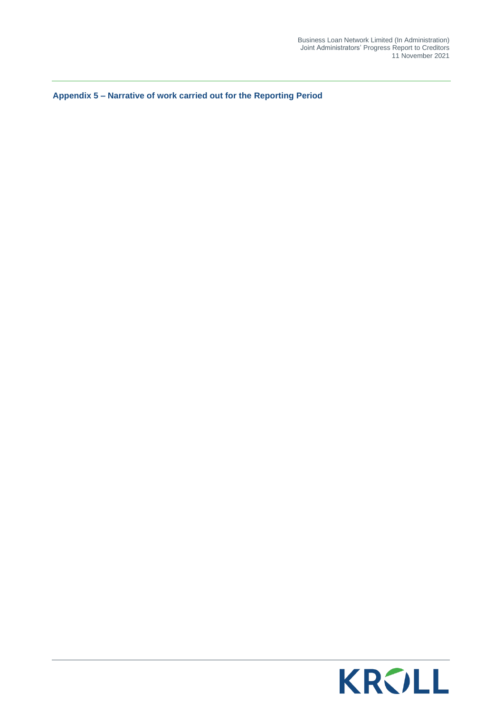**Appendix 5 – Narrative of work carried out for the Reporting Period**

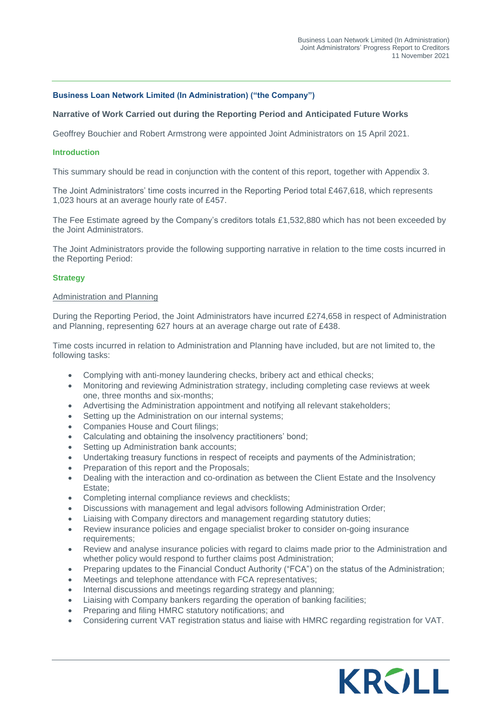#### **Business Loan Network Limited (In Administration) ("the Company")**

#### **Narrative of Work Carried out during the Reporting Period and Anticipated Future Works**

Geoffrey Bouchier and Robert Armstrong were appointed Joint Administrators on 15 April 2021.

#### **Introduction**

This summary should be read in conjunction with the content of this report, together with Appendix 3.

The Joint Administrators' time costs incurred in the Reporting Period total £467,618, which represents 1,023 hours at an average hourly rate of £457.

The Fee Estimate agreed by the Company's creditors totals £1,532,880 which has not been exceeded by the Joint Administrators.

The Joint Administrators provide the following supporting narrative in relation to the time costs incurred in the Reporting Period:

#### **Strategy**

#### Administration and Planning

During the Reporting Period, the Joint Administrators have incurred £274,658 in respect of Administration and Planning, representing 627 hours at an average charge out rate of £438.

Time costs incurred in relation to Administration and Planning have included, but are not limited to, the following tasks:

- Complying with anti-money laundering checks, bribery act and ethical checks;
- Monitoring and reviewing Administration strategy, including completing case reviews at week one, three months and six-months;
- Advertising the Administration appointment and notifying all relevant stakeholders;
- Setting up the Administration on our internal systems;
- Companies House and Court filings;
- Calculating and obtaining the insolvency practitioners' bond;
- Setting up Administration bank accounts;
- Undertaking treasury functions in respect of receipts and payments of the Administration;
- Preparation of this report and the Proposals;
- Dealing with the interaction and co-ordination as between the Client Estate and the Insolvency Estate;
- Completing internal compliance reviews and checklists;
- Discussions with management and legal advisors following Administration Order;
- Liaising with Company directors and management regarding statutory duties;
- Review insurance policies and engage specialist broker to consider on-going insurance requirements;
- Review and analyse insurance policies with regard to claims made prior to the Administration and whether policy would respond to further claims post Administration;
- Preparing updates to the Financial Conduct Authority ("FCA") on the status of the Administration;
- Meetings and telephone attendance with FCA representatives;
- Internal discussions and meetings regarding strategy and planning;
- Liaising with Company bankers regarding the operation of banking facilities;
- Preparing and filing HMRC statutory notifications; and
- Considering current VAT registration status and liaise with HMRC regarding registration for VAT.

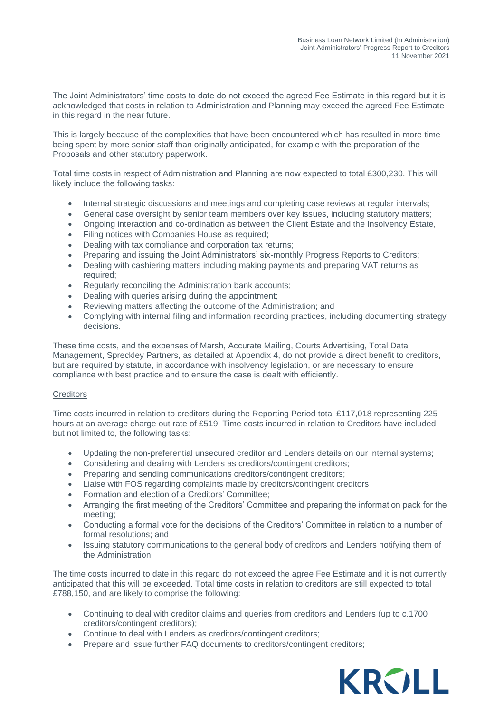The Joint Administrators' time costs to date do not exceed the agreed Fee Estimate in this regard but it is acknowledged that costs in relation to Administration and Planning may exceed the agreed Fee Estimate in this regard in the near future.

This is largely because of the complexities that have been encountered which has resulted in more time being spent by more senior staff than originally anticipated, for example with the preparation of the Proposals and other statutory paperwork.

Total time costs in respect of Administration and Planning are now expected to total £300,230. This will likely include the following tasks:

- Internal strategic discussions and meetings and completing case reviews at regular intervals;
- General case oversight by senior team members over key issues, including statutory matters;
- Ongoing interaction and co-ordination as between the Client Estate and the Insolvency Estate,
- Filing notices with Companies House as required;
- Dealing with tax compliance and corporation tax returns;
- Preparing and issuing the Joint Administrators' six-monthly Progress Reports to Creditors;
- Dealing with cashiering matters including making payments and preparing VAT returns as required;
- Regularly reconciling the Administration bank accounts;
- Dealing with queries arising during the appointment;
- Reviewing matters affecting the outcome of the Administration; and
- Complying with internal filing and information recording practices, including documenting strategy decisions.

These time costs, and the expenses of Marsh, Accurate Mailing, Courts Advertising, Total Data Management, Spreckley Partners, as detailed at Appendix 4, do not provide a direct benefit to creditors, but are required by statute, in accordance with insolvency legislation, or are necessary to ensure compliance with best practice and to ensure the case is dealt with efficiently.

#### **Creditors**

Time costs incurred in relation to creditors during the Reporting Period total £117,018 representing 225 hours at an average charge out rate of £519. Time costs incurred in relation to Creditors have included, but not limited to, the following tasks:

- Updating the non-preferential unsecured creditor and Lenders details on our internal systems;
- Considering and dealing with Lenders as creditors/contingent creditors;
- Preparing and sending communications creditors/contingent creditors;
- Liaise with FOS regarding complaints made by creditors/contingent creditors
- Formation and election of a Creditors' Committee;
- Arranging the first meeting of the Creditors' Committee and preparing the information pack for the meeting;
- Conducting a formal vote for the decisions of the Creditors' Committee in relation to a number of formal resolutions; and
- Issuing statutory communications to the general body of creditors and Lenders notifying them of the Administration.

The time costs incurred to date in this regard do not exceed the agree Fee Estimate and it is not currently anticipated that this will be exceeded. Total time costs in relation to creditors are still expected to total £788,150, and are likely to comprise the following:

- Continuing to deal with creditor claims and queries from creditors and Lenders (up to c.1700 creditors/contingent creditors);
- Continue to deal with Lenders as creditors/contingent creditors;
- Prepare and issue further FAQ documents to creditors/contingent creditors;

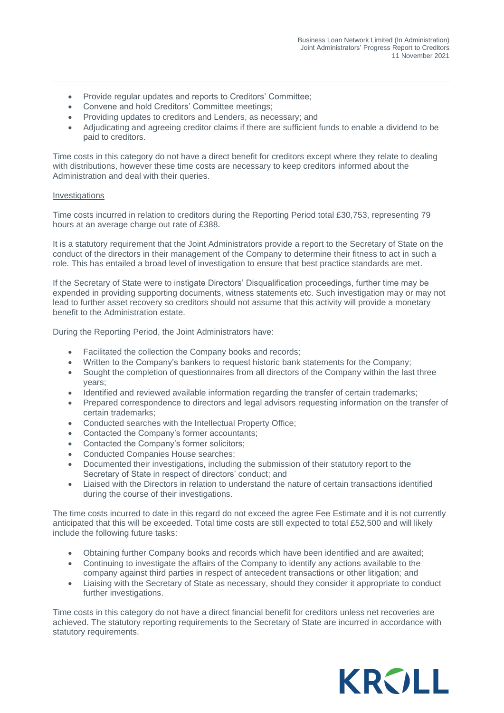- Provide regular updates and reports to Creditors' Committee;
- Convene and hold Creditors' Committee meetings;
- Providing updates to creditors and Lenders, as necessary; and
- Adjudicating and agreeing creditor claims if there are sufficient funds to enable a dividend to be paid to creditors.

Time costs in this category do not have a direct benefit for creditors except where they relate to dealing with distributions, however these time costs are necessary to keep creditors informed about the Administration and deal with their queries.

#### Investigations

Time costs incurred in relation to creditors during the Reporting Period total £30,753, representing 79 hours at an average charge out rate of £388.

It is a statutory requirement that the Joint Administrators provide a report to the Secretary of State on the conduct of the directors in their management of the Company to determine their fitness to act in such a role. This has entailed a broad level of investigation to ensure that best practice standards are met.

If the Secretary of State were to instigate Directors' Disqualification proceedings, further time may be expended in providing supporting documents, witness statements etc. Such investigation may or may not lead to further asset recovery so creditors should not assume that this activity will provide a monetary benefit to the Administration estate.

During the Reporting Period, the Joint Administrators have:

- Facilitated the collection the Company books and records;
- Written to the Company's bankers to request historic bank statements for the Company;
- Sought the completion of questionnaires from all directors of the Company within the last three years;
- Identified and reviewed available information regarding the transfer of certain trademarks;
- Prepared correspondence to directors and legal advisors requesting information on the transfer of certain trademarks;
- Conducted searches with the Intellectual Property Office;
- Contacted the Company's former accountants;
- Contacted the Company's former solicitors;
- Conducted Companies House searches;
- Documented their investigations, including the submission of their statutory report to the Secretary of State in respect of directors' conduct; and
- Liaised with the Directors in relation to understand the nature of certain transactions identified during the course of their investigations.

The time costs incurred to date in this regard do not exceed the agree Fee Estimate and it is not currently anticipated that this will be exceeded. Total time costs are still expected to total £52,500 and will likely include the following future tasks:

- Obtaining further Company books and records which have been identified and are awaited;
- Continuing to investigate the affairs of the Company to identify any actions available to the company against third parties in respect of antecedent transactions or other litigation; and
- Liaising with the Secretary of State as necessary, should they consider it appropriate to conduct further investigations.

Time costs in this category do not have a direct financial benefit for creditors unless net recoveries are achieved. The statutory reporting requirements to the Secretary of State are incurred in accordance with statutory requirements.

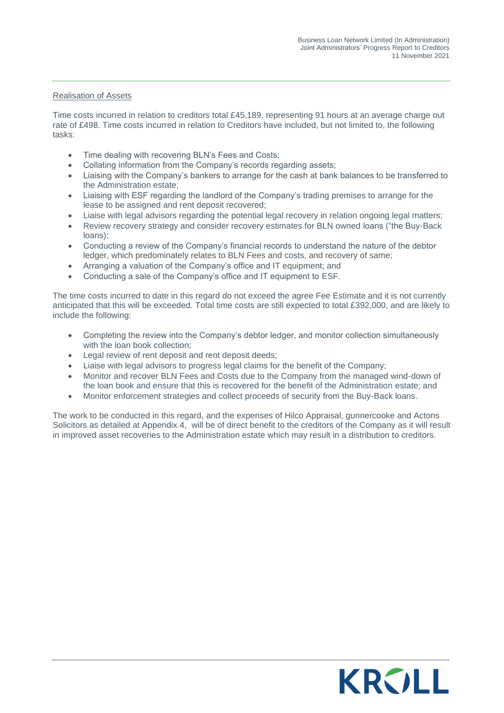#### Realisation of Assets

Time costs incurred in relation to creditors total £45,189, representing 91 hours at an average charge out rate of £498. Time costs incurred in relation to Creditors have included, but not limited to, the following tasks:

- Time dealing with recovering BLN's Fees and Costs;
- Collating information from the Company's records regarding assets;
- Liaising with the Company's bankers to arrange for the cash at bank balances to be transferred to the Administration estate;
- Liaising with ESF regarding the landlord of the Company's trading premises to arrange for the lease to be assigned and rent deposit recovered;
- Liaise with legal advisors regarding the potential legal recovery in relation ongoing legal matters;
- Review recovery strategy and consider recovery estimates for BLN owned loans ("the Buy-Back loans);
- Conducting a review of the Company's financial records to understand the nature of the debtor ledger, which predominately relates to BLN Fees and costs, and recovery of same;
- Arranging a valuation of the Company's office and IT equipment; and
- Conducting a sale of the Company's office and IT equipment to ESF.

The time costs incurred to date in this regard do not exceed the agree Fee Estimate and it is not currently anticipated that this will be exceeded. Total time costs are still expected to total £392,000, and are likely to include the following:

- Completing the review into the Company's debtor ledger, and monitor collection simultaneously with the loan book collection;
- Legal review of rent deposit and rent deposit deeds;
- Liaise with legal advisors to progress legal claims for the benefit of the Company;
- Monitor and recover BLN Fees and Costs due to the Company from the managed wind-down of the loan book and ensure that this is recovered for the benefit of the Administration estate; and
- Monitor enforcement strategies and collect proceeds of security from the Buy-Back loans.

The work to be conducted in this regard, and the expenses of Hilco Appraisal, gunnercooke and Actons Solicitors as detailed at Appendix 4, will be of direct benefit to the creditors of the Company as it will result in improved asset recoveries to the Administration estate which may result in a distribution to creditors.

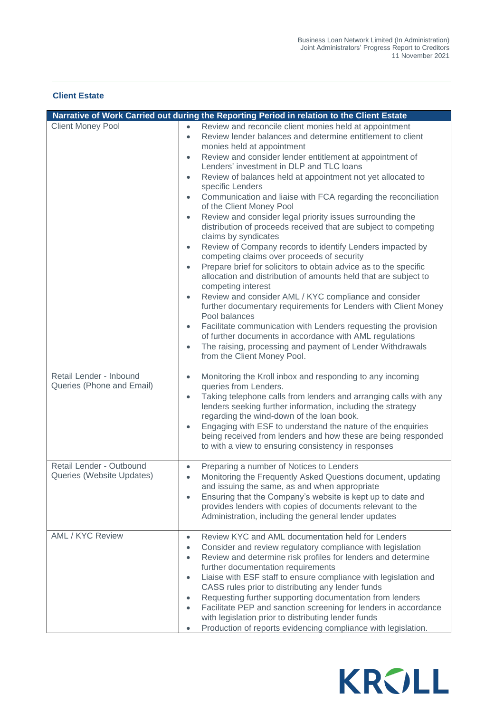#### **Client Estate**

|                                                       | Narrative of Work Carried out during the Reporting Period in relation to the Client Estate                                                                                                                                                                                                                                                                                                                                                                                                                                                                                                                                                                                                                                                                                                                                                                                                                                                                                                                                                                                                                                                                                                                                                                                                                                                                                                      |
|-------------------------------------------------------|-------------------------------------------------------------------------------------------------------------------------------------------------------------------------------------------------------------------------------------------------------------------------------------------------------------------------------------------------------------------------------------------------------------------------------------------------------------------------------------------------------------------------------------------------------------------------------------------------------------------------------------------------------------------------------------------------------------------------------------------------------------------------------------------------------------------------------------------------------------------------------------------------------------------------------------------------------------------------------------------------------------------------------------------------------------------------------------------------------------------------------------------------------------------------------------------------------------------------------------------------------------------------------------------------------------------------------------------------------------------------------------------------|
| <b>Client Money Pool</b>                              | Review and reconcile client monies held at appointment<br>$\bullet$<br>Review lender balances and determine entitlement to client<br>$\bullet$<br>monies held at appointment<br>Review and consider lender entitlement at appointment of<br>$\bullet$<br>Lenders' investment in DLP and TLC loans<br>Review of balances held at appointment not yet allocated to<br>$\bullet$<br>specific Lenders<br>Communication and liaise with FCA regarding the reconciliation<br>$\bullet$<br>of the Client Money Pool<br>Review and consider legal priority issues surrounding the<br>$\bullet$<br>distribution of proceeds received that are subject to competing<br>claims by syndicates<br>Review of Company records to identify Lenders impacted by<br>$\bullet$<br>competing claims over proceeds of security<br>Prepare brief for solicitors to obtain advice as to the specific<br>$\bullet$<br>allocation and distribution of amounts held that are subject to<br>competing interest<br>Review and consider AML / KYC compliance and consider<br>$\bullet$<br>further documentary requirements for Lenders with Client Money<br>Pool balances<br>Facilitate communication with Lenders requesting the provision<br>$\bullet$<br>of further documents in accordance with AML regulations<br>The raising, processing and payment of Lender Withdrawals<br>$\bullet$<br>from the Client Money Pool. |
| Retail Lender - Inbound<br>Queries (Phone and Email)  | Monitoring the Kroll inbox and responding to any incoming<br>$\bullet$<br>queries from Lenders.<br>Taking telephone calls from lenders and arranging calls with any<br>$\bullet$<br>lenders seeking further information, including the strategy<br>regarding the wind-down of the loan book.<br>Engaging with ESF to understand the nature of the enquiries<br>$\bullet$<br>being received from lenders and how these are being responded<br>to with a view to ensuring consistency in responses                                                                                                                                                                                                                                                                                                                                                                                                                                                                                                                                                                                                                                                                                                                                                                                                                                                                                                |
| Retail Lender - Outbound<br>Queries (Website Updates) | Preparing a number of Notices to Lenders<br>$\bullet$<br>Monitoring the Frequently Asked Questions document, updating<br>$\bullet$<br>and issuing the same, as and when appropriate<br>Ensuring that the Company's website is kept up to date and<br>$\bullet$<br>provides lenders with copies of documents relevant to the<br>Administration, including the general lender updates                                                                                                                                                                                                                                                                                                                                                                                                                                                                                                                                                                                                                                                                                                                                                                                                                                                                                                                                                                                                             |
| <b>AML / KYC Review</b>                               | Review KYC and AML documentation held for Lenders<br>$\bullet$<br>Consider and review regulatory compliance with legislation<br>$\bullet$<br>Review and determine risk profiles for lenders and determine<br>$\bullet$<br>further documentation requirements<br>Liaise with ESF staff to ensure compliance with legislation and<br>$\bullet$<br>CASS rules prior to distributing any lender funds<br>Requesting further supporting documentation from lenders<br>$\bullet$<br>Facilitate PEP and sanction screening for lenders in accordance<br>$\bullet$<br>with legislation prior to distributing lender funds<br>Production of reports evidencing compliance with legislation.<br>$\bullet$                                                                                                                                                                                                                                                                                                                                                                                                                                                                                                                                                                                                                                                                                                 |

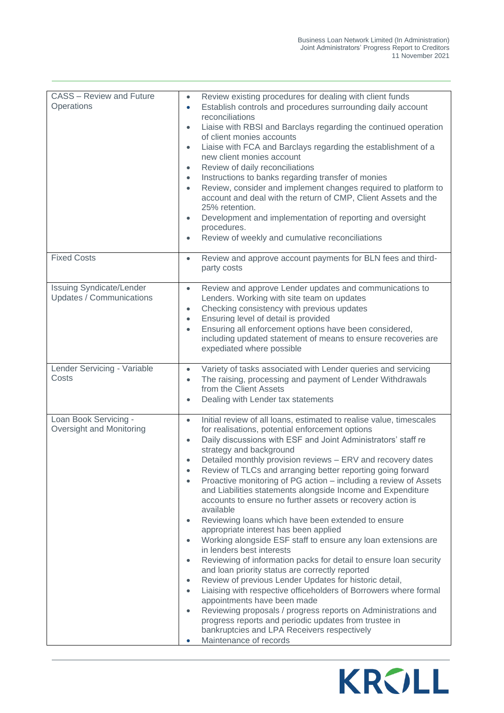| <b>CASS - Review and Future</b><br>Operations               | Review existing procedures for dealing with client funds<br>$\bullet$<br>Establish controls and procedures surrounding daily account<br>$\bullet$<br>reconciliations<br>Liaise with RBSI and Barclays regarding the continued operation<br>$\bullet$<br>of client monies accounts<br>Liaise with FCA and Barclays regarding the establishment of a<br>$\bullet$<br>new client monies account<br>Review of daily reconciliations<br>$\bullet$<br>Instructions to banks regarding transfer of monies<br>$\bullet$<br>Review, consider and implement changes required to platform to<br>$\bullet$<br>account and deal with the return of CMP, Client Assets and the<br>25% retention.<br>Development and implementation of reporting and oversight<br>$\bullet$<br>procedures.<br>Review of weekly and cumulative reconciliations<br>$\bullet$                                                                                                                                                                                                                                                                                                                                                                                                                                                                                                                              |
|-------------------------------------------------------------|--------------------------------------------------------------------------------------------------------------------------------------------------------------------------------------------------------------------------------------------------------------------------------------------------------------------------------------------------------------------------------------------------------------------------------------------------------------------------------------------------------------------------------------------------------------------------------------------------------------------------------------------------------------------------------------------------------------------------------------------------------------------------------------------------------------------------------------------------------------------------------------------------------------------------------------------------------------------------------------------------------------------------------------------------------------------------------------------------------------------------------------------------------------------------------------------------------------------------------------------------------------------------------------------------------------------------------------------------------------------------|
| <b>Fixed Costs</b>                                          | Review and approve account payments for BLN fees and third-<br>$\bullet$<br>party costs                                                                                                                                                                                                                                                                                                                                                                                                                                                                                                                                                                                                                                                                                                                                                                                                                                                                                                                                                                                                                                                                                                                                                                                                                                                                                  |
| <b>Issuing Syndicate/Lender</b><br>Updates / Communications | Review and approve Lender updates and communications to<br>$\bullet$<br>Lenders. Working with site team on updates<br>Checking consistency with previous updates<br>$\bullet$<br>Ensuring level of detail is provided<br>$\bullet$<br>Ensuring all enforcement options have been considered,<br>$\bullet$<br>including updated statement of means to ensure recoveries are<br>expediated where possible                                                                                                                                                                                                                                                                                                                                                                                                                                                                                                                                                                                                                                                                                                                                                                                                                                                                                                                                                                  |
| Lender Servicing - Variable<br>Costs                        | Variety of tasks associated with Lender queries and servicing<br>$\bullet$<br>The raising, processing and payment of Lender Withdrawals<br>$\bullet$<br>from the Client Assets<br>Dealing with Lender tax statements<br>$\bullet$                                                                                                                                                                                                                                                                                                                                                                                                                                                                                                                                                                                                                                                                                                                                                                                                                                                                                                                                                                                                                                                                                                                                        |
| Loan Book Servicing -<br>Oversight and Monitoring           | Initial review of all loans, estimated to realise value, timescales<br>$\bullet$<br>for realisations, potential enforcement options<br>Daily discussions with ESF and Joint Administrators' staff re<br>$\bullet$<br>strategy and background<br>Detailed monthly provision reviews - ERV and recovery dates<br>$\bullet$<br>Review of TLCs and arranging better reporting going forward<br>Proactive monitoring of PG action – including a review of Assets<br>$\bullet$<br>and Liabilities statements alongside Income and Expenditure<br>accounts to ensure no further assets or recovery action is<br>available<br>Reviewing loans which have been extended to ensure<br>$\bullet$<br>appropriate interest has been applied<br>Working alongside ESF staff to ensure any loan extensions are<br>$\bullet$<br>in lenders best interests<br>Reviewing of information packs for detail to ensure loan security<br>$\bullet$<br>and loan priority status are correctly reported<br>Review of previous Lender Updates for historic detail,<br>$\bullet$<br>Liaising with respective officeholders of Borrowers where formal<br>$\bullet$<br>appointments have been made<br>Reviewing proposals / progress reports on Administrations and<br>progress reports and periodic updates from trustee in<br>bankruptcies and LPA Receivers respectively<br>Maintenance of records |

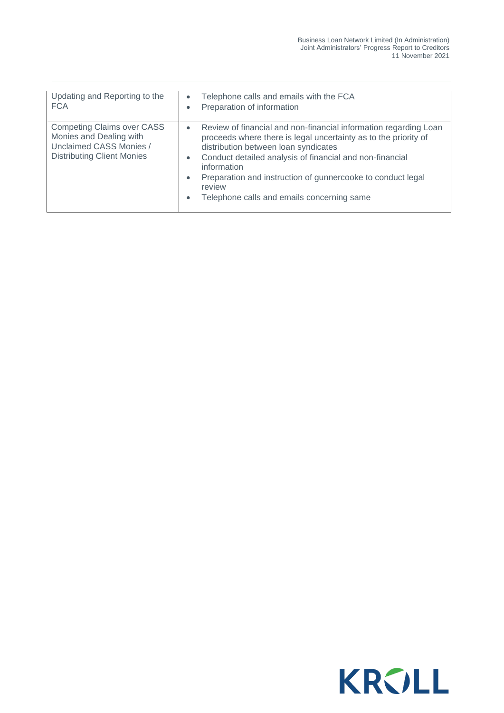| Updating and Reporting to the<br><b>FCA</b>                                                                                  | Telephone calls and emails with the FCA<br>$\bullet$<br>Preparation of information<br>۰                                                                                                                                                                                                                                                                                                                                   |
|------------------------------------------------------------------------------------------------------------------------------|---------------------------------------------------------------------------------------------------------------------------------------------------------------------------------------------------------------------------------------------------------------------------------------------------------------------------------------------------------------------------------------------------------------------------|
| <b>Competing Claims over CASS</b><br>Monies and Dealing with<br>Unclaimed CASS Monies /<br><b>Distributing Client Monies</b> | Review of financial and non-financial information regarding Loan<br>$\bullet$<br>proceeds where there is legal uncertainty as to the priority of<br>distribution between loan syndicates<br>Conduct detailed analysis of financial and non-financial<br>$\bullet$<br>information<br>Preparation and instruction of gunnercooke to conduct legal<br>۰<br>review<br>Telephone calls and emails concerning same<br>$\bullet$ |

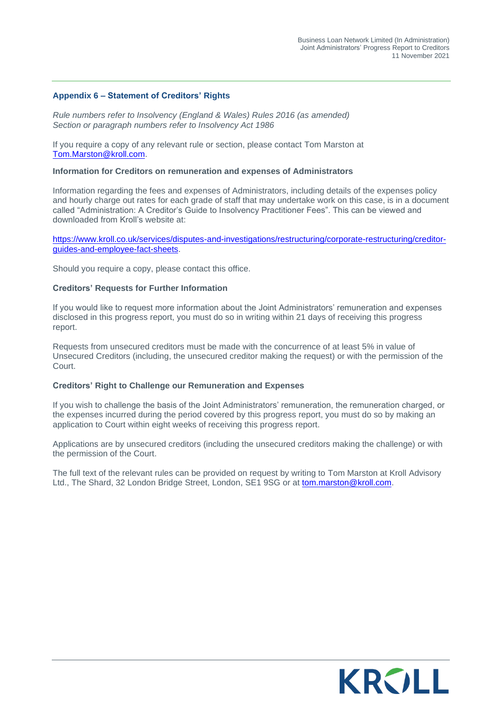#### **Appendix 6 – Statement of Creditors' Rights**

*Rule numbers refer to Insolvency (England & Wales) Rules 2016 (as amended) Section or paragraph numbers refer to Insolvency Act 1986*

If you require a copy of any relevant rule or section, please contact Tom Marston at [Tom.Marston@kroll.com.](mailto:Tom.Marston@kroll.com)

#### **Information for Creditors on remuneration and expenses of Administrators**

Information regarding the fees and expenses of Administrators, including details of the expenses policy and hourly charge out rates for each grade of staff that may undertake work on this case, is in a document called "Administration: A Creditor's Guide to Insolvency Practitioner Fees". This can be viewed and downloaded from Kroll's website at:

[https://www.kroll.co.uk/services/disputes-and-investigations/restructuring/corporate-restructuring/creditor](https://www.kroll.co.uk/services/disputes-and-investigations/restructuring/corporate-restructuring/creditor-guides-and-employee-fact-sheets)[guides-and-employee-fact-sheets.](https://www.kroll.co.uk/services/disputes-and-investigations/restructuring/corporate-restructuring/creditor-guides-and-employee-fact-sheets)

Should you require a copy, please contact this office.

#### **Creditors' Requests for Further Information**

If you would like to request more information about the Joint Administrators' remuneration and expenses disclosed in this progress report, you must do so in writing within 21 days of receiving this progress report.

Requests from unsecured creditors must be made with the concurrence of at least 5% in value of Unsecured Creditors (including, the unsecured creditor making the request) or with the permission of the Court.

#### **Creditors' Right to Challenge our Remuneration and Expenses**

If you wish to challenge the basis of the Joint Administrators' remuneration, the remuneration charged, or the expenses incurred during the period covered by this progress report, you must do so by making an application to Court within eight weeks of receiving this progress report.

Applications are by unsecured creditors (including the unsecured creditors making the challenge) or with the permission of the Court.

The full text of the relevant rules can be provided on request by writing to Tom Marston at Kroll Advisory Ltd., The Shard, 32 London Bridge Street, London, SE1 9SG or at [tom.marston@kroll.com.](mailto:tom.marston@kroll.com)

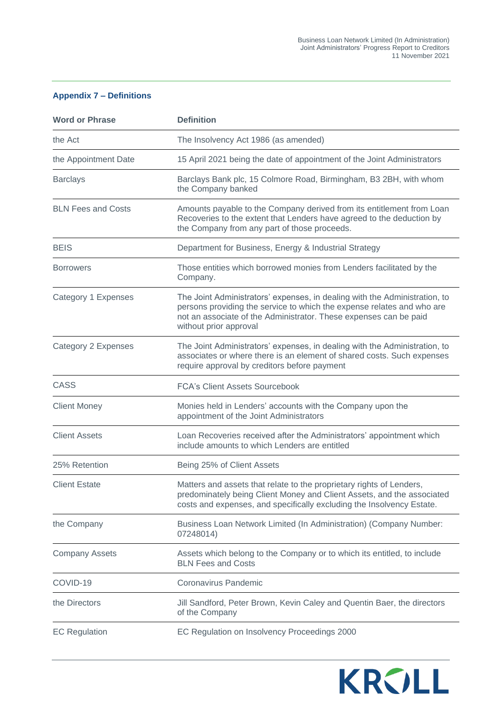#### **Appendix 7 – Definitions**

| <b>Word or Phrase</b>     | <b>Definition</b>                                                                                                                                                                                                                                   |
|---------------------------|-----------------------------------------------------------------------------------------------------------------------------------------------------------------------------------------------------------------------------------------------------|
| the Act                   | The Insolvency Act 1986 (as amended)                                                                                                                                                                                                                |
| the Appointment Date      | 15 April 2021 being the date of appointment of the Joint Administrators                                                                                                                                                                             |
| <b>Barclays</b>           | Barclays Bank plc, 15 Colmore Road, Birmingham, B3 2BH, with whom<br>the Company banked                                                                                                                                                             |
| <b>BLN Fees and Costs</b> | Amounts payable to the Company derived from its entitlement from Loan<br>Recoveries to the extent that Lenders have agreed to the deduction by<br>the Company from any part of those proceeds.                                                      |
| <b>BEIS</b>               | Department for Business, Energy & Industrial Strategy                                                                                                                                                                                               |
| <b>Borrowers</b>          | Those entities which borrowed monies from Lenders facilitated by the<br>Company.                                                                                                                                                                    |
| Category 1 Expenses       | The Joint Administrators' expenses, in dealing with the Administration, to<br>persons providing the service to which the expense relates and who are<br>not an associate of the Administrator. These expenses can be paid<br>without prior approval |
| Category 2 Expenses       | The Joint Administrators' expenses, in dealing with the Administration, to<br>associates or where there is an element of shared costs. Such expenses<br>require approval by creditors before payment                                                |
| <b>CASS</b>               | <b>FCA's Client Assets Sourcebook</b>                                                                                                                                                                                                               |
| <b>Client Money</b>       | Monies held in Lenders' accounts with the Company upon the<br>appointment of the Joint Administrators                                                                                                                                               |
| <b>Client Assets</b>      | Loan Recoveries received after the Administrators' appointment which<br>include amounts to which Lenders are entitled                                                                                                                               |
| 25% Retention             | Being 25% of Client Assets                                                                                                                                                                                                                          |
| <b>Client Estate</b>      | Matters and assets that relate to the proprietary rights of Lenders,<br>predominately being Client Money and Client Assets, and the associated<br>costs and expenses, and specifically excluding the Insolvency Estate.                             |
| the Company               | Business Loan Network Limited (In Administration) (Company Number:<br>07248014)                                                                                                                                                                     |
| <b>Company Assets</b>     | Assets which belong to the Company or to which its entitled, to include<br><b>BLN Fees and Costs</b>                                                                                                                                                |
| COVID-19                  | Coronavirus Pandemic                                                                                                                                                                                                                                |
| the Directors             | Jill Sandford, Peter Brown, Kevin Caley and Quentin Baer, the directors<br>of the Company                                                                                                                                                           |
| <b>EC Regulation</b>      | EC Regulation on Insolvency Proceedings 2000                                                                                                                                                                                                        |

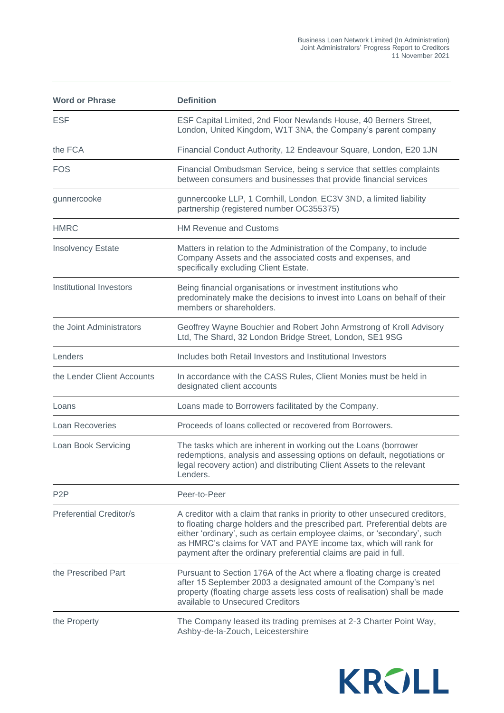| <b>Word or Phrase</b>          | <b>Definition</b>                                                                                                                                                                                                                                                                                                                                                               |
|--------------------------------|---------------------------------------------------------------------------------------------------------------------------------------------------------------------------------------------------------------------------------------------------------------------------------------------------------------------------------------------------------------------------------|
| <b>ESF</b>                     | ESF Capital Limited, 2nd Floor Newlands House, 40 Berners Street,<br>London, United Kingdom, W1T 3NA, the Company's parent company                                                                                                                                                                                                                                              |
| the FCA                        | Financial Conduct Authority, 12 Endeavour Square, London, E20 1JN                                                                                                                                                                                                                                                                                                               |
| FOS                            | Financial Ombudsman Service, being s service that settles complaints<br>between consumers and businesses that provide financial services                                                                                                                                                                                                                                        |
| gunnercooke                    | gunnercooke LLP, 1 Cornhill, London, EC3V 3ND, a limited liability<br>partnership (registered number OC355375)                                                                                                                                                                                                                                                                  |
| <b>HMRC</b>                    | <b>HM Revenue and Customs</b>                                                                                                                                                                                                                                                                                                                                                   |
| <b>Insolvency Estate</b>       | Matters in relation to the Administration of the Company, to include<br>Company Assets and the associated costs and expenses, and<br>specifically excluding Client Estate.                                                                                                                                                                                                      |
| Institutional Investors        | Being financial organisations or investment institutions who<br>predominately make the decisions to invest into Loans on behalf of their<br>members or shareholders.                                                                                                                                                                                                            |
| the Joint Administrators       | Geoffrey Wayne Bouchier and Robert John Armstrong of Kroll Advisory<br>Ltd, The Shard, 32 London Bridge Street, London, SE1 9SG                                                                                                                                                                                                                                                 |
| Lenders                        | Includes both Retail Investors and Institutional Investors                                                                                                                                                                                                                                                                                                                      |
| the Lender Client Accounts     | In accordance with the CASS Rules, Client Monies must be held in<br>designated client accounts                                                                                                                                                                                                                                                                                  |
| Loans                          | Loans made to Borrowers facilitated by the Company.                                                                                                                                                                                                                                                                                                                             |
| <b>Loan Recoveries</b>         | Proceeds of loans collected or recovered from Borrowers.                                                                                                                                                                                                                                                                                                                        |
| Loan Book Servicing            | The tasks which are inherent in working out the Loans (borrower<br>redemptions, analysis and assessing options on default, negotiations or<br>legal recovery action) and distributing Client Assets to the relevant<br>Lenders.                                                                                                                                                 |
| P <sub>2</sub> P               | Peer-to-Peer                                                                                                                                                                                                                                                                                                                                                                    |
| <b>Preferential Creditor/s</b> | A creditor with a claim that ranks in priority to other unsecured creditors,<br>to floating charge holders and the prescribed part. Preferential debts are<br>either 'ordinary', such as certain employee claims, or 'secondary', such<br>as HMRC's claims for VAT and PAYE income tax, which will rank for<br>payment after the ordinary preferential claims are paid in full. |
| the Prescribed Part            | Pursuant to Section 176A of the Act where a floating charge is created<br>after 15 September 2003 a designated amount of the Company's net<br>property (floating charge assets less costs of realisation) shall be made<br>available to Unsecured Creditors                                                                                                                     |
| the Property                   | The Company leased its trading premises at 2-3 Charter Point Way,<br>Ashby-de-la-Zouch, Leicestershire                                                                                                                                                                                                                                                                          |

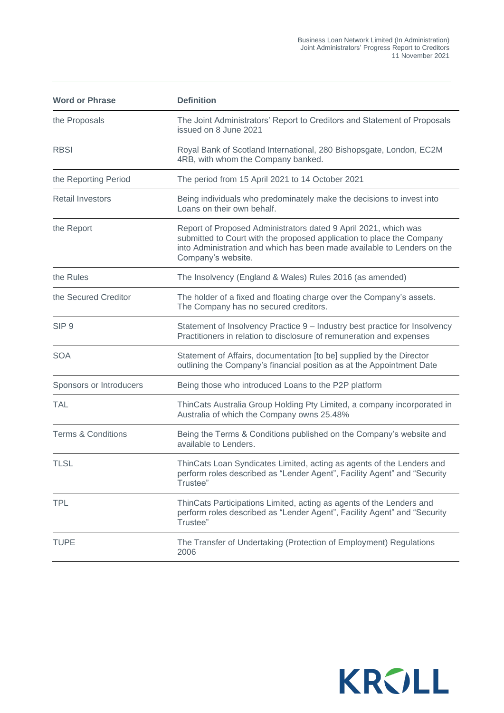| <b>Word or Phrase</b>         | <b>Definition</b>                                                                                                                                                                                                                         |
|-------------------------------|-------------------------------------------------------------------------------------------------------------------------------------------------------------------------------------------------------------------------------------------|
| the Proposals                 | The Joint Administrators' Report to Creditors and Statement of Proposals<br>issued on 8 June 2021                                                                                                                                         |
| <b>RBSI</b>                   | Royal Bank of Scotland International, 280 Bishopsgate, London, EC2M<br>4RB, with whom the Company banked.                                                                                                                                 |
| the Reporting Period          | The period from 15 April 2021 to 14 October 2021                                                                                                                                                                                          |
| <b>Retail Investors</b>       | Being individuals who predominately make the decisions to invest into<br>Loans on their own behalf.                                                                                                                                       |
| the Report                    | Report of Proposed Administrators dated 9 April 2021, which was<br>submitted to Court with the proposed application to place the Company<br>into Administration and which has been made available to Lenders on the<br>Company's website. |
| the Rules                     | The Insolvency (England & Wales) Rules 2016 (as amended)                                                                                                                                                                                  |
| the Secured Creditor          | The holder of a fixed and floating charge over the Company's assets.<br>The Company has no secured creditors.                                                                                                                             |
| SIP <sub>9</sub>              | Statement of Insolvency Practice 9 - Industry best practice for Insolvency<br>Practitioners in relation to disclosure of remuneration and expenses                                                                                        |
| <b>SOA</b>                    | Statement of Affairs, documentation [to be] supplied by the Director<br>outlining the Company's financial position as at the Appointment Date                                                                                             |
| Sponsors or Introducers       | Being those who introduced Loans to the P2P platform                                                                                                                                                                                      |
| <b>TAL</b>                    | ThinCats Australia Group Holding Pty Limited, a company incorporated in<br>Australia of which the Company owns 25.48%                                                                                                                     |
| <b>Terms &amp; Conditions</b> | Being the Terms & Conditions published on the Company's website and<br>available to Lenders.                                                                                                                                              |
| <b>TLSL</b>                   | ThinCats Loan Syndicates Limited, acting as agents of the Lenders and<br>perform roles described as "Lender Agent", Facility Agent" and "Security<br>Trustee"                                                                             |
| <b>TPL</b>                    | ThinCats Participations Limited, acting as agents of the Lenders and<br>perform roles described as "Lender Agent", Facility Agent" and "Security<br>Trustee"                                                                              |
| <b>TUPE</b>                   | The Transfer of Undertaking (Protection of Employment) Regulations<br>2006                                                                                                                                                                |